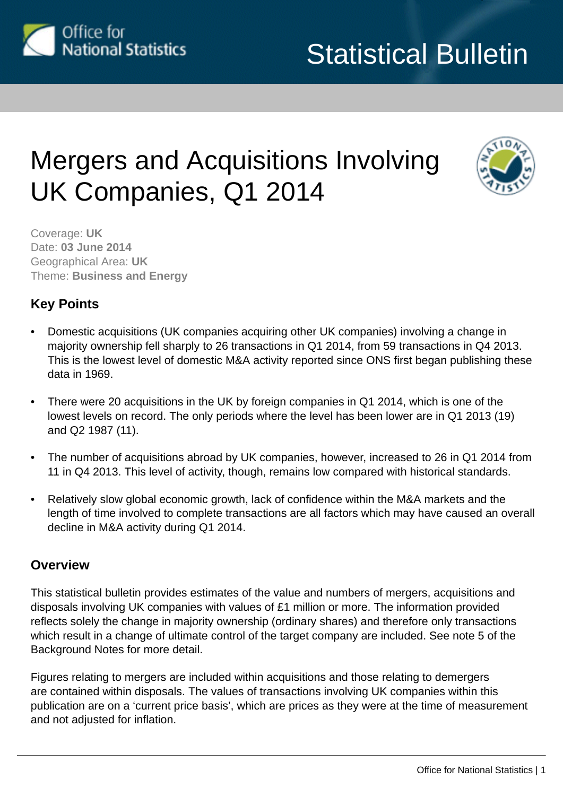

# Mergers and Acquisitions Involving UK Companies, Q1 2014



Coverage: **UK** Date: **03 June 2014** Geographical Area: **UK** Theme: **Business and Energy**

## **Key Points**

- Domestic acquisitions (UK companies acquiring other UK companies) involving a change in majority ownership fell sharply to 26 transactions in Q1 2014, from 59 transactions in Q4 2013. This is the lowest level of domestic M&A activity reported since ONS first began publishing these data in 1969.
- There were 20 acquisitions in the UK by foreign companies in Q1 2014, which is one of the lowest levels on record. The only periods where the level has been lower are in Q1 2013 (19) and Q2 1987 (11).
- The number of acquisitions abroad by UK companies, however, increased to 26 in Q1 2014 from 11 in Q4 2013. This level of activity, though, remains low compared with historical standards.
- Relatively slow global economic growth, lack of confidence within the M&A markets and the length of time involved to complete transactions are all factors which may have caused an overall decline in M&A activity during Q1 2014.

### **Overview**

This statistical bulletin provides estimates of the value and numbers of mergers, acquisitions and disposals involving UK companies with values of £1 million or more. The information provided reflects solely the change in majority ownership (ordinary shares) and therefore only transactions which result in a change of ultimate control of the target company are included. See note 5 of the Background Notes for more detail.

Figures relating to mergers are included within acquisitions and those relating to demergers are contained within disposals. The values of transactions involving UK companies within this publication are on a 'current price basis', which are prices as they were at the time of measurement and not adjusted for inflation.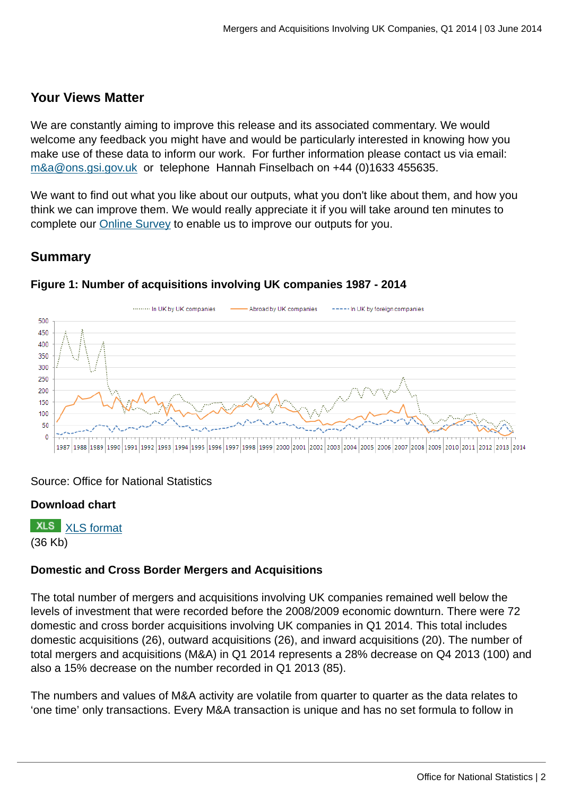### **Your Views Matter**

We are constantly aiming to improve this release and its associated commentary. We would welcome any feedback you might have and would be particularly interested in knowing how you make use of these data to inform our work. For further information please contact us via email: [m&a@ons.gsi.gov.uk](mailto:m&a@ons.gsi.gov.uk) or telephone Hannah Finselbach on +44 (0)1633 455635.

We want to find out what you like about our outputs, what you don't like about them, and how you think we can improve them. We would really appreciate it if you will take around ten minutes to complete our [Online Survey](https://www.surveymonkey.com/s/7M63FDL) to enable us to improve our outputs for you.

### **Summary**



#### **Figure 1: Number of acquisitions involving UK companies 1987 - 2014**

#### Source: Office for National Statistics

#### **Download chart**

**XLS** [XLS format](http://www.ons.gov.uk:80/ons/rel/international-transactions/mergers-and-acquisitions-involving-uk-companies/q1-2014/chd-m-a-fig-1.xls) (36 Kb)

### **Domestic and Cross Border Mergers and Acquisitions**

The total number of mergers and acquisitions involving UK companies remained well below the levels of investment that were recorded before the 2008/2009 economic downturn. There were 72 domestic and cross border acquisitions involving UK companies in Q1 2014. This total includes domestic acquisitions (26), outward acquisitions (26), and inward acquisitions (20). The number of total mergers and acquisitions (M&A) in Q1 2014 represents a 28% decrease on Q4 2013 (100) and also a 15% decrease on the number recorded in Q1 2013 (85).

The numbers and values of M&A activity are volatile from quarter to quarter as the data relates to 'one time' only transactions. Every M&A transaction is unique and has no set formula to follow in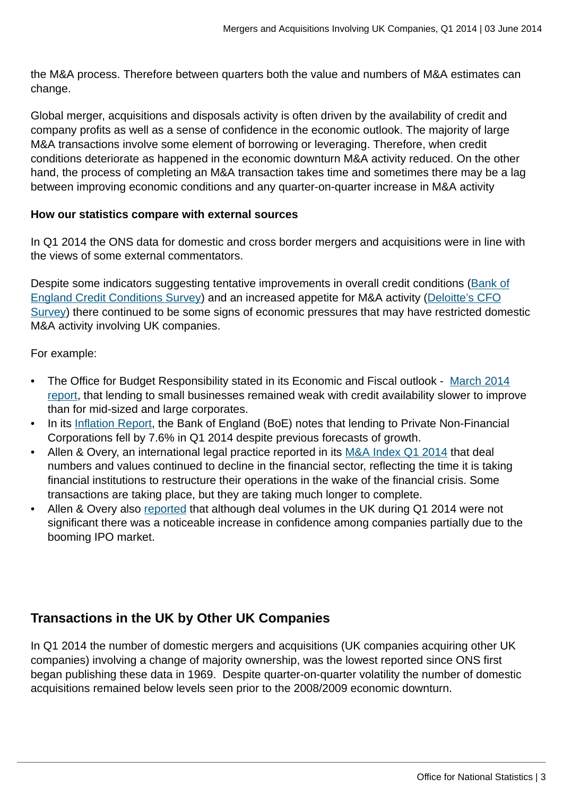the M&A process. Therefore between quarters both the value and numbers of M&A estimates can change.

Global merger, acquisitions and disposals activity is often driven by the availability of credit and company profits as well as a sense of confidence in the economic outlook. The majority of large M&A transactions involve some element of borrowing or leveraging. Therefore, when credit conditions deteriorate as happened in the economic downturn M&A activity reduced. On the other hand, the process of completing an M&A transaction takes time and sometimes there may be a lag between improving economic conditions and any quarter-on-quarter increase in M&A activity

#### **How our statistics compare with external sources**

In Q1 2014 the ONS data for domestic and cross border mergers and acquisitions were in line with the views of some external commentators.

Despite some indicators suggesting tentative improvements in overall credit conditions ([Bank of](http://www.bankofengland.co.uk/publications/Pages/other/monetary/ccs/ccs1404.aspx) [England Credit Conditions Survey](http://www.bankofengland.co.uk/publications/Pages/other/monetary/ccs/ccs1404.aspx)) and an increased appetite for M&A activity ([Deloitte's CFO](http://www.deloitte.com/assets/Dcom-nitedKingdom/Local%20Assets/Documents/Research/CFO%20Survey/uk-insights-cfo-survey-2014-q1-full-report.pdf) [Survey\)](http://www.deloitte.com/assets/Dcom-nitedKingdom/Local%20Assets/Documents/Research/CFO%20Survey/uk-insights-cfo-survey-2014-q1-full-report.pdf) there continued to be some signs of economic pressures that may have restricted domestic M&A activity involving UK companies.

For example:

- The Office for Budget Responsibility stated in its Economic and Fiscal outlook [March 2014](http://cdn.budgetresponsibility.org.uk/37839-OBR-Cm-8820-accessible-web-v2.pdf) [report,](http://cdn.budgetresponsibility.org.uk/37839-OBR-Cm-8820-accessible-web-v2.pdf) that lending to small businesses remained weak with credit availability slower to improve than for mid-sized and large corporates.
- In its [Inflation Report](http://www.bankofengland.co.uk/publications/Pages/inflationreport/2014/ir1402.aspx), the Bank of England (BoE) notes that lending to Private Non-Financial Corporations fell by 7.6% in Q1 2014 despite previous forecasts of growth.
- Allen & Overy, an international legal practice reported in its [M&A Index Q1 2014](http://www.allenovery.com/SiteCollectionDocuments/ma%20index%20q1%202014.pdf) that deal numbers and values continued to decline in the financial sector, reflecting the time it is taking financial institutions to restructure their operations in the wake of the financial crisis. Some transactions are taking place, but they are taking much longer to complete.
- Allen & Overy also [reported](http://www.bankofengland.co.uk/publications/Pages/agentssummary/2014/agsum14mar.aspx) that although deal volumes in the UK during Q1 2014 were not significant there was a noticeable increase in confidence among companies partially due to the booming IPO market.

## **Transactions in the UK by Other UK Companies**

In Q1 2014 the number of domestic mergers and acquisitions (UK companies acquiring other UK companies) involving a change of majority ownership, was the lowest reported since ONS first began publishing these data in 1969. Despite quarter-on-quarter volatility the number of domestic acquisitions remained below levels seen prior to the 2008/2009 economic downturn.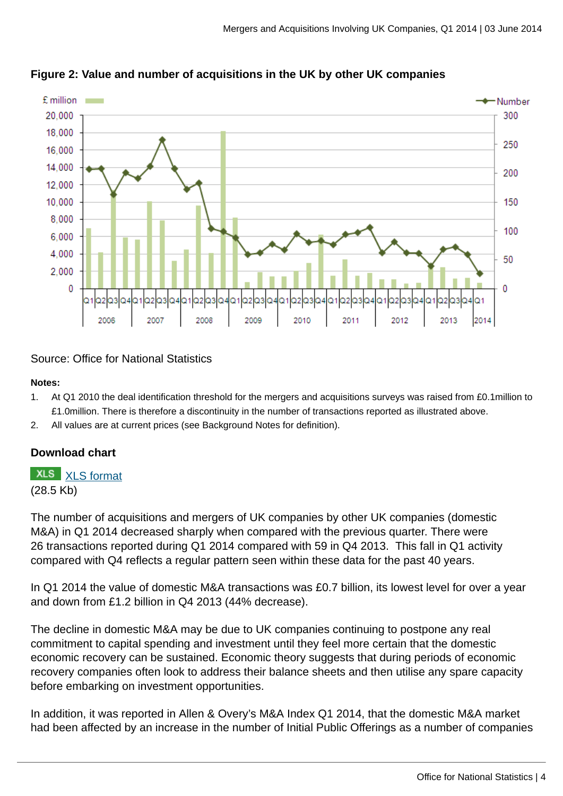

**Figure 2: Value and number of acquisitions in the UK by other UK companies**

Source: Office for National Statistics

#### **Notes:**

- 1. At Q1 2010 the deal identification threshold for the mergers and acquisitions surveys was raised from £0.1million to £1.0million. There is therefore a discontinuity in the number of transactions reported as illustrated above.
- 2. All values are at current prices (see Background Notes for definition).

#### **Download chart**

**XLS** [XLS format](http://www.ons.gov.uk:80/ons/rel/international-transactions/mergers-and-acquisitions-involving-uk-companies/q1-2014/chd-m-a-fig-2.xls) (28.5 Kb)

The number of acquisitions and mergers of UK companies by other UK companies (domestic M&A) in Q1 2014 decreased sharply when compared with the previous quarter. There were 26 transactions reported during Q1 2014 compared with 59 in Q4 2013. This fall in Q1 activity compared with Q4 reflects a regular pattern seen within these data for the past 40 years.

In Q1 2014 the value of domestic M&A transactions was £0.7 billion, its lowest level for over a year and down from £1.2 billion in Q4 2013 (44% decrease).

The decline in domestic M&A may be due to UK companies continuing to postpone any real commitment to capital spending and investment until they feel more certain that the domestic economic recovery can be sustained. Economic theory suggests that during periods of economic recovery companies often look to address their balance sheets and then utilise any spare capacity before embarking on investment opportunities.

In addition, it was reported in Allen & Overy's M&A Index Q1 2014, that the domestic M&A market had been affected by an increase in the number of Initial Public Offerings as a number of companies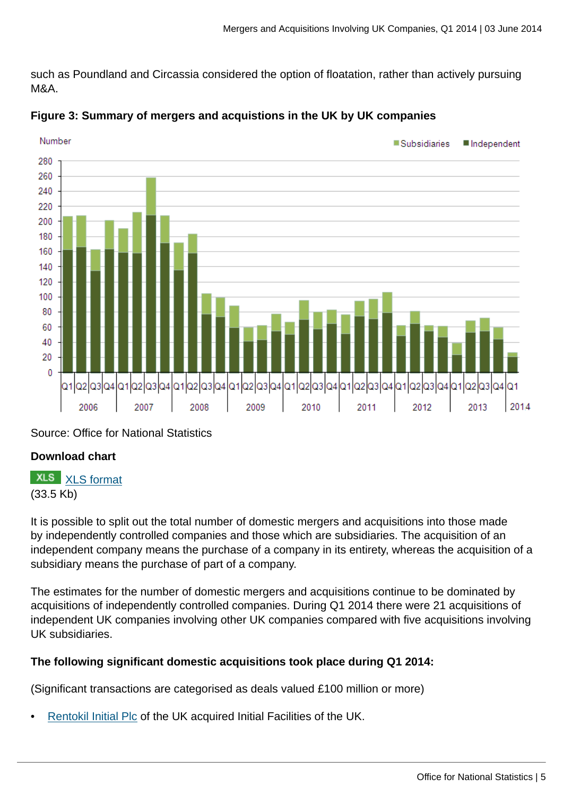such as Poundland and Circassia considered the option of floatation, rather than actively pursuing M&A.



## **Figure 3: Summary of mergers and acquistions in the UK by UK companies**

Source: Office for National Statistics

## **Download chart**

## **XLS** [XLS format](http://www.ons.gov.uk:80/ons/rel/international-transactions/mergers-and-acquisitions-involving-uk-companies/q1-2014/chd-m-a-fig-3.xls)

(33.5 Kb)

It is possible to split out the total number of domestic mergers and acquisitions into those made by independently controlled companies and those which are subsidiaries. The acquisition of an independent company means the purchase of a company in its entirety, whereas the acquisition of a subsidiary means the purchase of part of a company.

The estimates for the number of domestic mergers and acquisitions continue to be dominated by acquisitions of independently controlled companies. During Q1 2014 there were 21 acquisitions of independent UK companies involving other UK companies compared with five acquisitions involving UK subsidiaries.

## **The following significant domestic acquisitions took place during Q1 2014:**

(Significant transactions are categorised as deals valued £100 million or more)

• [Rentokil Initial Plc](http://www.theconstructionindex.co.uk/news/view/interserve-completes-initial-facilities-takeover) of the UK acquired Initial Facilities of the UK.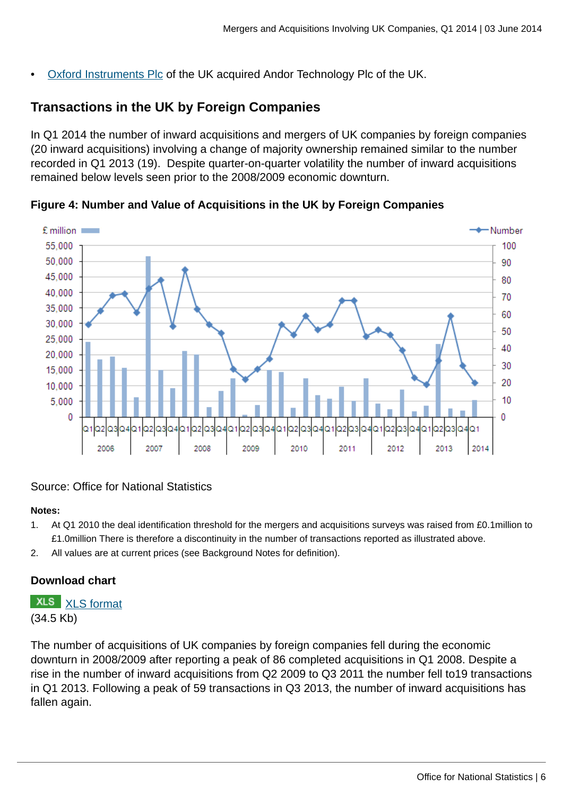• [Oxford Instruments Plc](http://www.investegate.co.uk/oxford-instruments--oxig-/rns/offer-declared-wholly-unconditional/201401220759012049Y/) of the UK acquired Andor Technology Plc of the UK.

## **Transactions in the UK by Foreign Companies**

In Q1 2014 the number of inward acquisitions and mergers of UK companies by foreign companies (20 inward acquisitions) involving a change of majority ownership remained similar to the number recorded in Q1 2013 (19). Despite quarter-on-quarter volatility the number of inward acquisitions remained below levels seen prior to the 2008/2009 economic downturn.



**Figure 4: Number and Value of Acquisitions in the UK by Foreign Companies**

#### Source: Office for National Statistics

#### **Notes:**

- 1. At Q1 2010 the deal identification threshold for the mergers and acquisitions surveys was raised from £0.1million to £1.0million There is therefore a discontinuity in the number of transactions reported as illustrated above.
- 2. All values are at current prices (see Background Notes for definition).

#### **Download chart**

**XLS** [XLS format](http://www.ons.gov.uk:80/ons/rel/international-transactions/mergers-and-acquisitions-involving-uk-companies/q1-2014/chd-m-a-fig-4.xls) (34.5 Kb)

The number of acquisitions of UK companies by foreign companies fell during the economic downturn in 2008/2009 after reporting a peak of 86 completed acquisitions in Q1 2008. Despite a rise in the number of inward acquisitions from Q2 2009 to Q3 2011 the number fell to19 transactions in Q1 2013. Following a peak of 59 transactions in Q3 2013, the number of inward acquisitions has fallen again.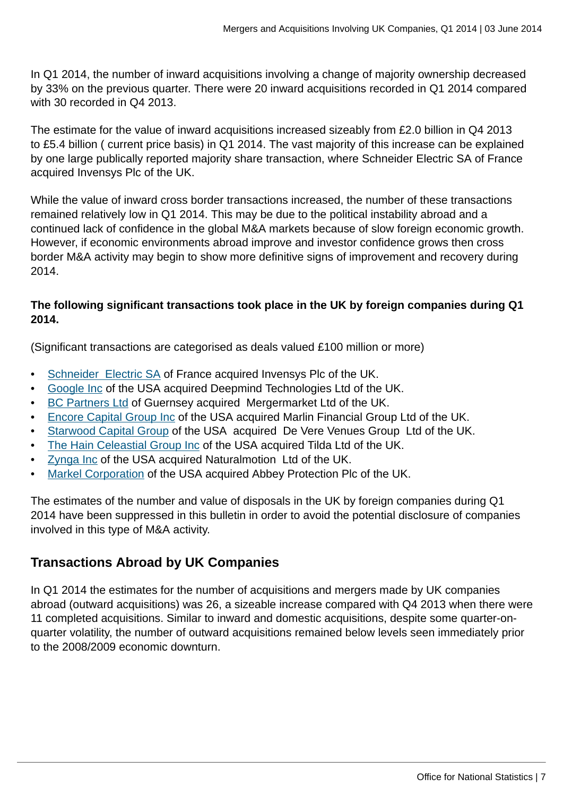In Q1 2014, the number of inward acquisitions involving a change of majority ownership decreased by 33% on the previous quarter. There were 20 inward acquisitions recorded in Q1 2014 compared with 30 recorded in Q4 2013.

The estimate for the value of inward acquisitions increased sizeably from £2.0 billion in Q4 2013 to £5.4 billion ( current price basis) in Q1 2014. The vast majority of this increase can be explained by one large publically reported majority share transaction, where Schneider Electric SA of France acquired Invensys Plc of the UK.

While the value of inward cross border transactions increased, the number of these transactions remained relatively low in Q1 2014. This may be due to the political instability abroad and a continued lack of confidence in the global M&A markets because of slow foreign economic growth. However, if economic environments abroad improve and investor confidence grows then cross border M&A activity may begin to show more definitive signs of improvement and recovery during 2014.

#### **The following significant transactions took place in the UK by foreign companies during Q1 2014.**

(Significant transactions are categorised as deals valued £100 million or more)

- [Schneider Electric SA](http://iom.invensys.com/uk/Pages/IOM_NewsDetail.aspx?NewsID=639) of France acquired Invensys Plc of the UK.
- [Google Inc](http://www.independent.co.uk/life-style/gadgets-and-tech/deepmind-google-buys-uk-artificial-intelligence-startup-for-242m-9087109.html) of the USA acquired Deepmind Technologies Ltd of the UK.
- [BC Partners Ltd](http://www.bcpartners.com/news/2013/29-11-13.aspx) of Guernsey acquired Mergermarket Ltd of the UK.
- [Encore Capital Group Inc](ttp://www.cabotcm.com/media/2014/02/10/cabot-credit-management-acquires-marlin-financial-group) of the USA acquired Marlin Financial Group Ltd of the UK.
- [Starwood Capital Group](http://www.bighospitality.co.uk/Business/Starwood-Capital-buys-De-Vere-Venues) of the USA acquired De Vere Venues Group Ltd of the UK.
- [The Hain Celeastial Group Inc](http://ir.hain-celestial.com/phoenix.zhtml?c=87078&p=irol-newsArticle&ID=1890008&highlight) of the USA acquired Tilda Ltd of the UK.
- [Zynga Inc](http://techcrunch.com/2014/01/30/zynga-naturalmotion/) of the USA acquired Naturalmotion Ltd of the UK.
- [Markel Corporation](http://www.investegate.co.uk/abbey-protection-plc--abb-/rns/scheme-of-arrangement-effective/201401171423479745X/) of the USA acquired Abbey Protection Plc of the UK.

The estimates of the number and value of disposals in the UK by foreign companies during Q1 2014 have been suppressed in this bulletin in order to avoid the potential disclosure of companies involved in this type of M&A activity.

## **Transactions Abroad by UK Companies**

In Q1 2014 the estimates for the number of acquisitions and mergers made by UK companies abroad (outward acquisitions) was 26, a sizeable increase compared with Q4 2013 when there were 11 completed acquisitions. Similar to inward and domestic acquisitions, despite some quarter-onquarter volatility, the number of outward acquisitions remained below levels seen immediately prior to the 2008/2009 economic downturn.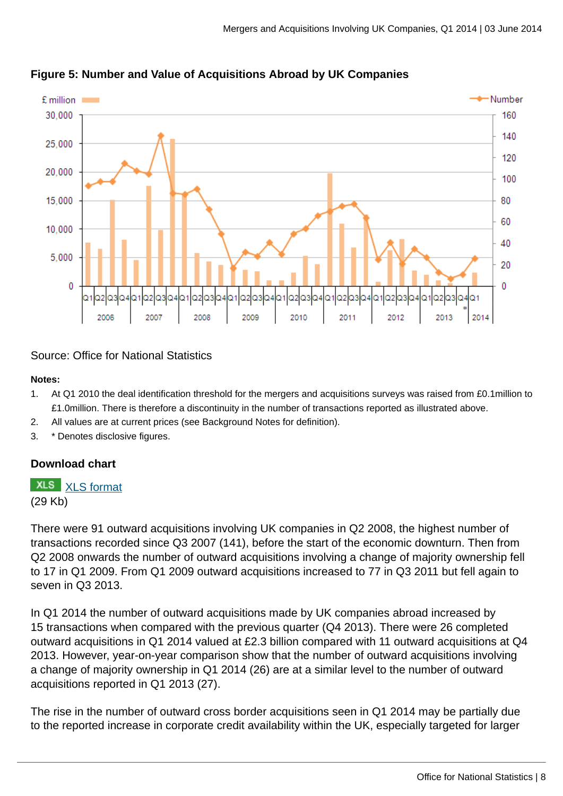

#### **Figure 5: Number and Value of Acquisitions Abroad by UK Companies**

Source: Office for National Statistics

#### **Notes:**

- 1. At Q1 2010 the deal identification threshold for the mergers and acquisitions surveys was raised from £0.1million to £1.0million. There is therefore a discontinuity in the number of transactions reported as illustrated above.
- 2. All values are at current prices (see Background Notes for definition).
- 3. \* Denotes disclosive figures.

#### **Download chart**

**XLS** [XLS format](http://www.ons.gov.uk:80/ons/rel/international-transactions/mergers-and-acquisitions-involving-uk-companies/q1-2014/chd-m-a-fig-5.xls)

(29 Kb)

There were 91 outward acquisitions involving UK companies in Q2 2008, the highest number of transactions recorded since Q3 2007 (141), before the start of the economic downturn. Then from Q2 2008 onwards the number of outward acquisitions involving a change of majority ownership fell to 17 in Q1 2009. From Q1 2009 outward acquisitions increased to 77 in Q3 2011 but fell again to seven in Q3 2013.

In Q1 2014 the number of outward acquisitions made by UK companies abroad increased by 15 transactions when compared with the previous quarter (Q4 2013). There were 26 completed outward acquisitions in Q1 2014 valued at £2.3 billion compared with 11 outward acquisitions at Q4 2013. However, year-on-year comparison show that the number of outward acquisitions involving a change of majority ownership in Q1 2014 (26) are at a similar level to the number of outward acquisitions reported in Q1 2013 (27).

The rise in the number of outward cross border acquisitions seen in Q1 2014 may be partially due to the reported increase in corporate credit availability within the UK, especially targeted for larger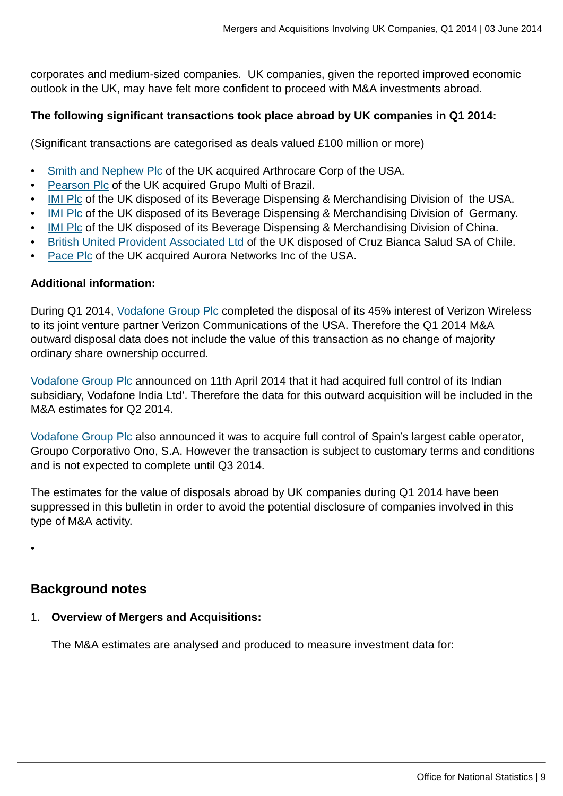corporates and medium-sized companies. UK companies, given the reported improved economic outlook in the UK, may have felt more confident to proceed with M&A investments abroad.

#### **The following significant transactions took place abroad by UK companies in Q1 2014:**

(Significant transactions are categorised as deals valued £100 million or more)

- [Smith and Nephew Plc](http://www.telegraph.co.uk/finance/newsbysector/pharmaceuticalsandchemicals/10615081/Smith-and-Nephew-buys-ArthroCare-to-boost-sports-medicine-arm.html) of the UK acquired Arthrocare Corp of the USA.
- [Pearson Plc](http://www.pearson.com/news/2013/december/pearson-acquiresgrupomultibecomesthemarketleaderinadultenglishla.html?article=true) of the UK acquired Grupo Multi of Brazil.
- [IMI Plc](http://www.imiplc.com/media/group-news/2014/rddisp020114.aspx) of the UK disposed of its Beverage Dispensing & Merchandising Division of the USA.
- [IMI Plc](http://www.imiplc.com/media/group-news/2014/rddisp020114.aspx) of the UK disposed of its Beverage Dispensing & Merchandising Division of Germany.
- [IMI Plc](http://www.imiplc.com/media/group-news/2014/rddisp020114.aspx) of the UK disposed of its Beverage Dispensing & Merchandising Division of China.
- [British United Provident Associated Ltd](http://www.investegate.co.uk/brit-utd-provascbupa/rns/bupa-completes-acquisition-of-cruz-blanca-salud/201402241200067735A) of the UK disposed of Cruz Bianca Salud SA of Chile.
- [Pace Plc](http://www.thetelegraphandargus.co.uk/business/10921266.Pace_seals_deal_on_acquiring_US_firm/) of the UK acquired Aurora Networks Inc of the USA.

#### **Additional information:**

During Q1 2014, [Vodafone Group Plc](http://www.vodafone.com/content/index/media/vodafone-group-releases/2013/vzw-circular.html) completed the disposal of its 45% interest of Verizon Wireless to its joint venture partner Verizon Communications of the USA. Therefore the Q1 2014 M&A outward disposal data does not include the value of this transaction as no change of majority ordinary share ownership occurred.

[Vodafone Group Plc](http://www.vodafone.com/content/index/media/vodafone-group-releases/2014/vodafone-india.html) announced on 11th April 2014 that it had acquired full control of its Indian subsidiary, Vodafone India Ltd'. Therefore the data for this outward acquisition will be included in the M&A estimates for Q2 2014.

[Vodafone Group Plc](http://www.vodafone.com/content/index/media/vodafone-group-releases/2014/ono.html) also announced it was to acquire full control of Spain's largest cable operator, Groupo Corporativo Ono, S.A. However the transaction is subject to customary terms and conditions and is not expected to complete until Q3 2014.

The estimates for the value of disposals abroad by UK companies during Q1 2014 have been suppressed in this bulletin in order to avoid the potential disclosure of companies involved in this type of M&A activity.

•

#### **Background notes**

1. **Overview of Mergers and Acquisitions:**

The M&A estimates are analysed and produced to measure investment data for: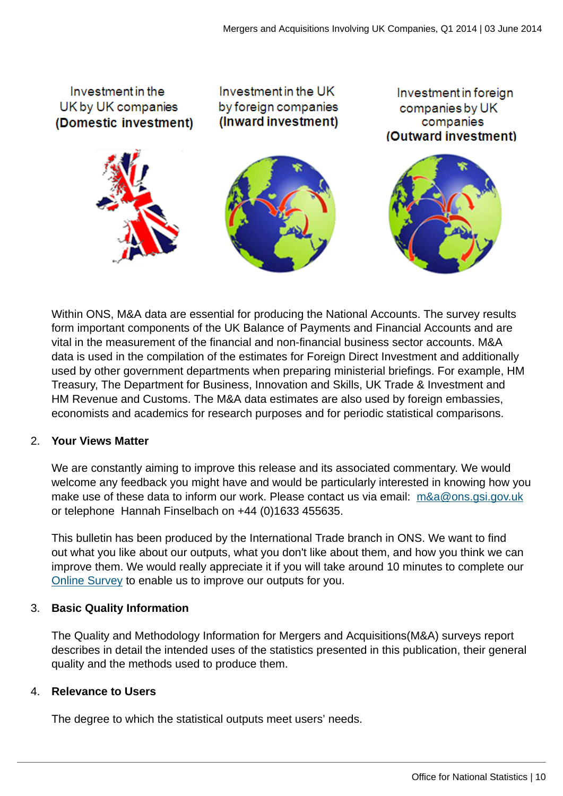

Within ONS, M&A data are essential for producing the National Accounts. The survey results form important components of the UK Balance of Payments and Financial Accounts and are vital in the measurement of the financial and non-financial business sector accounts. M&A data is used in the compilation of the estimates for Foreign Direct Investment and additionally used by other government departments when preparing ministerial briefings. For example, HM Treasury, The Department for Business, Innovation and Skills, UK Trade & Investment and HM Revenue and Customs. The M&A data estimates are also used by foreign embassies, economists and academics for research purposes and for periodic statistical comparisons.

#### 2. **Your Views Matter**

We are constantly aiming to improve this release and its associated commentary. We would welcome any feedback you might have and would be particularly interested in knowing how you make use of these data to inform our work. Please contact us via email: [m&a@ons.gsi.gov.uk](mailto:m&a@ons.gsi.gov.uk) or telephone Hannah Finselbach on +44 (0)1633 455635.

This bulletin has been produced by the International Trade branch in ONS. We want to find out what you like about our outputs, what you don't like about them, and how you think we can improve them. We would really appreciate it if you will take around 10 minutes to complete our [Online Survey](https://www.surveymonkey.com/s/7M63FDL) to enable us to improve our outputs for you.

#### 3. **Basic Quality Information**

The Quality and Methodology Information for Mergers and Acquisitions(M&A) surveys report describes in detail the intended uses of the statistics presented in this publication, their general quality and the methods used to produce them.

#### 4. **Relevance to Users**

The degree to which the statistical outputs meet users' needs.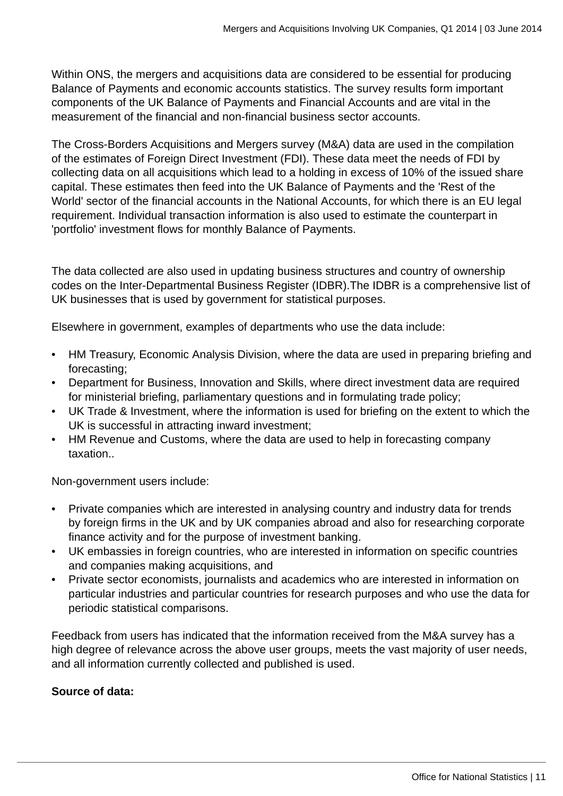Within ONS, the mergers and acquisitions data are considered to be essential for producing Balance of Payments and economic accounts statistics. The survey results form important components of the UK Balance of Payments and Financial Accounts and are vital in the measurement of the financial and non-financial business sector accounts.

The Cross-Borders Acquisitions and Mergers survey (M&A) data are used in the compilation of the estimates of Foreign Direct Investment (FDI). These data meet the needs of FDI by collecting data on all acquisitions which lead to a holding in excess of 10% of the issued share capital. These estimates then feed into the UK Balance of Payments and the 'Rest of the World' sector of the financial accounts in the National Accounts, for which there is an EU legal requirement. Individual transaction information is also used to estimate the counterpart in 'portfolio' investment flows for monthly Balance of Payments.

The data collected are also used in updating business structures and country of ownership codes on the Inter-Departmental Business Register (IDBR).The IDBR is a comprehensive list of UK businesses that is used by government for statistical purposes.

Elsewhere in government, examples of departments who use the data include:

- HM Treasury, Economic Analysis Division, where the data are used in preparing briefing and forecasting;
- Department for Business, Innovation and Skills, where direct investment data are required for ministerial briefing, parliamentary questions and in formulating trade policy;
- UK Trade & Investment, where the information is used for briefing on the extent to which the UK is successful in attracting inward investment;
- HM Revenue and Customs, where the data are used to help in forecasting company taxation..

Non-government users include:

- Private companies which are interested in analysing country and industry data for trends by foreign firms in the UK and by UK companies abroad and also for researching corporate finance activity and for the purpose of investment banking.
- UK embassies in foreign countries, who are interested in information on specific countries and companies making acquisitions, and
- Private sector economists, journalists and academics who are interested in information on particular industries and particular countries for research purposes and who use the data for periodic statistical comparisons.

Feedback from users has indicated that the information received from the M&A survey has a high degree of relevance across the above user groups, meets the vast majority of user needs, and all information currently collected and published is used.

#### **Source of data:**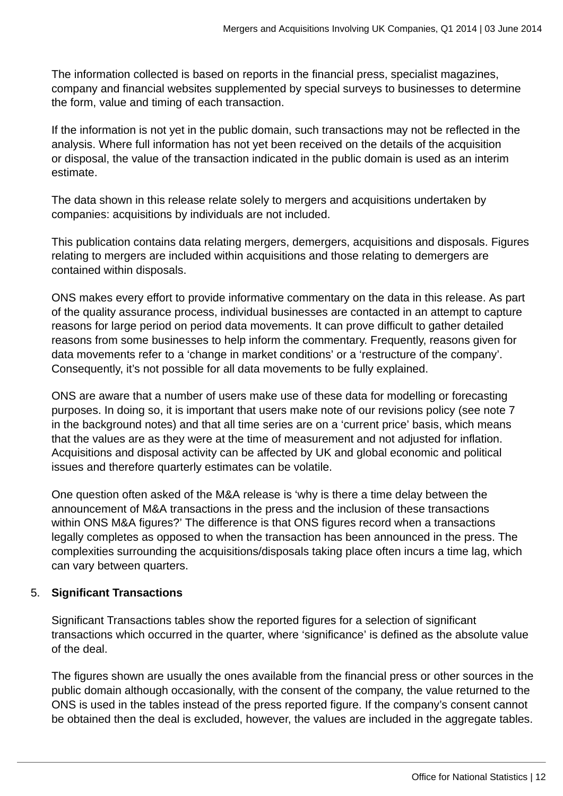The information collected is based on reports in the financial press, specialist magazines, company and financial websites supplemented by special surveys to businesses to determine the form, value and timing of each transaction.

If the information is not yet in the public domain, such transactions may not be reflected in the analysis. Where full information has not yet been received on the details of the acquisition or disposal, the value of the transaction indicated in the public domain is used as an interim estimate.

The data shown in this release relate solely to mergers and acquisitions undertaken by companies: acquisitions by individuals are not included.

This publication contains data relating mergers, demergers, acquisitions and disposals. Figures relating to mergers are included within acquisitions and those relating to demergers are contained within disposals.

ONS makes every effort to provide informative commentary on the data in this release. As part of the quality assurance process, individual businesses are contacted in an attempt to capture reasons for large period on period data movements. It can prove difficult to gather detailed reasons from some businesses to help inform the commentary. Frequently, reasons given for data movements refer to a 'change in market conditions' or a 'restructure of the company'. Consequently, it's not possible for all data movements to be fully explained.

ONS are aware that a number of users make use of these data for modelling or forecasting purposes. In doing so, it is important that users make note of our revisions policy (see note 7 in the background notes) and that all time series are on a 'current price' basis, which means that the values are as they were at the time of measurement and not adjusted for inflation. Acquisitions and disposal activity can be affected by UK and global economic and political issues and therefore quarterly estimates can be volatile.

One question often asked of the M&A release is 'why is there a time delay between the announcement of M&A transactions in the press and the inclusion of these transactions within ONS M&A figures?' The difference is that ONS figures record when a transactions legally completes as opposed to when the transaction has been announced in the press. The complexities surrounding the acquisitions/disposals taking place often incurs a time lag, which can vary between quarters.

#### 5. **Significant Transactions**

Significant Transactions tables show the reported figures for a selection of significant transactions which occurred in the quarter, where 'significance' is defined as the absolute value of the deal.

The figures shown are usually the ones available from the financial press or other sources in the public domain although occasionally, with the consent of the company, the value returned to the ONS is used in the tables instead of the press reported figure. If the company's consent cannot be obtained then the deal is excluded, however, the values are included in the aggregate tables.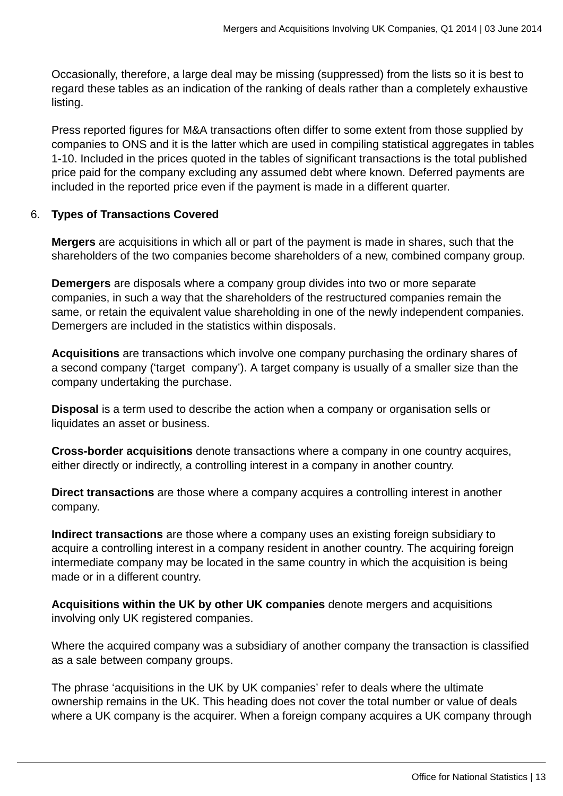Occasionally, therefore, a large deal may be missing (suppressed) from the lists so it is best to regard these tables as an indication of the ranking of deals rather than a completely exhaustive listing.

Press reported figures for M&A transactions often differ to some extent from those supplied by companies to ONS and it is the latter which are used in compiling statistical aggregates in tables 1-10. Included in the prices quoted in the tables of significant transactions is the total published price paid for the company excluding any assumed debt where known. Deferred payments are included in the reported price even if the payment is made in a different quarter.

#### 6. **Types of Transactions Covered**

**Mergers** are acquisitions in which all or part of the payment is made in shares, such that the shareholders of the two companies become shareholders of a new, combined company group.

**Demergers** are disposals where a company group divides into two or more separate companies, in such a way that the shareholders of the restructured companies remain the same, or retain the equivalent value shareholding in one of the newly independent companies. Demergers are included in the statistics within disposals.

**Acquisitions** are transactions which involve one company purchasing the ordinary shares of a second company ('target company'). A target company is usually of a smaller size than the company undertaking the purchase.

**Disposal** is a term used to describe the action when a company or organisation sells or liquidates an asset or business.

**Cross-border acquisitions** denote transactions where a company in one country acquires, either directly or indirectly, a controlling interest in a company in another country.

**Direct transactions** are those where a company acquires a controlling interest in another company.

**Indirect transactions** are those where a company uses an existing foreign subsidiary to acquire a controlling interest in a company resident in another country. The acquiring foreign intermediate company may be located in the same country in which the acquisition is being made or in a different country.

**Acquisitions within the UK by other UK companies** denote mergers and acquisitions involving only UK registered companies.

Where the acquired company was a subsidiary of another company the transaction is classified as a sale between company groups.

The phrase 'acquisitions in the UK by UK companies' refer to deals where the ultimate ownership remains in the UK. This heading does not cover the total number or value of deals where a UK company is the acquirer. When a foreign company acquires a UK company through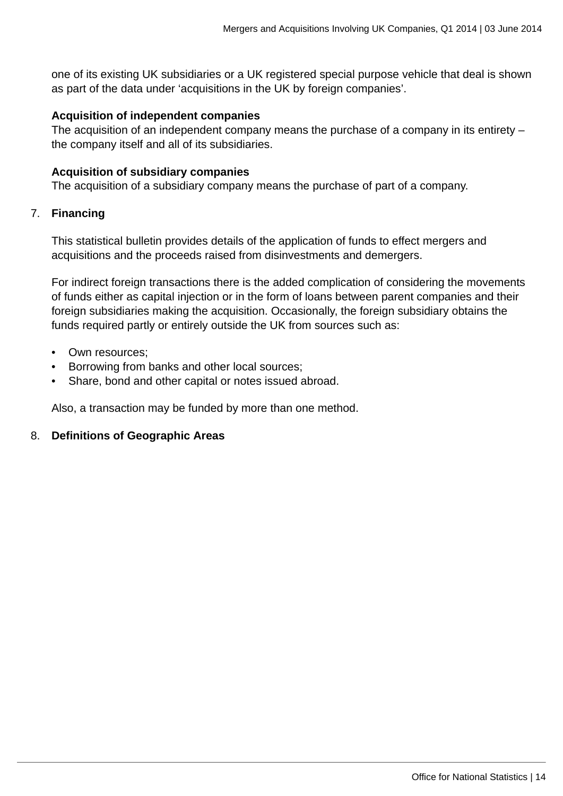one of its existing UK subsidiaries or a UK registered special purpose vehicle that deal is shown as part of the data under 'acquisitions in the UK by foreign companies'.

#### **Acquisition of independent companies**

The acquisition of an independent company means the purchase of a company in its entirety – the company itself and all of its subsidiaries.

#### **Acquisition of subsidiary companies**

The acquisition of a subsidiary company means the purchase of part of a company.

#### 7. **Financing**

This statistical bulletin provides details of the application of funds to effect mergers and acquisitions and the proceeds raised from disinvestments and demergers.

For indirect foreign transactions there is the added complication of considering the movements of funds either as capital injection or in the form of loans between parent companies and their foreign subsidiaries making the acquisition. Occasionally, the foreign subsidiary obtains the funds required partly or entirely outside the UK from sources such as:

- Own resources;
- Borrowing from banks and other local sources;
- Share, bond and other capital or notes issued abroad.

Also, a transaction may be funded by more than one method.

#### 8. **Definitions of Geographic Areas**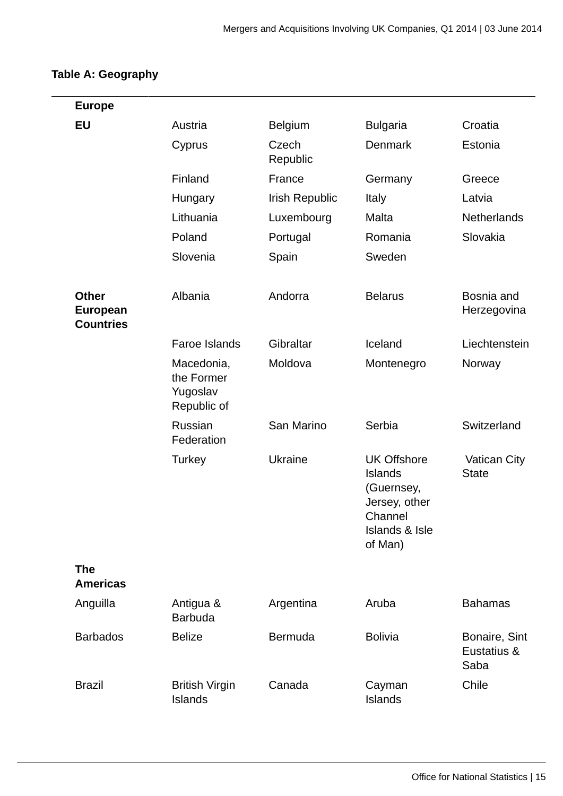## **Table A: Geography**

| <b>Europe</b>                                |                                                     |                   |                                                                                                                        |                                      |
|----------------------------------------------|-----------------------------------------------------|-------------------|------------------------------------------------------------------------------------------------------------------------|--------------------------------------|
| EU                                           | Austria                                             | <b>Belgium</b>    | <b>Bulgaria</b>                                                                                                        | Croatia                              |
|                                              | Cyprus                                              | Czech<br>Republic | <b>Denmark</b>                                                                                                         | Estonia                              |
|                                              | Finland                                             | France            | Germany                                                                                                                | Greece                               |
|                                              | Hungary                                             | Irish Republic    | Italy                                                                                                                  | Latvia                               |
|                                              | Lithuania                                           | Luxembourg        | Malta                                                                                                                  | <b>Netherlands</b>                   |
|                                              | Poland                                              | Portugal          | Romania                                                                                                                | Slovakia                             |
|                                              | Slovenia                                            | Spain             | Sweden                                                                                                                 |                                      |
| <b>Other</b><br>European<br><b>Countries</b> | Albania                                             | Andorra           | <b>Belarus</b>                                                                                                         | Bosnia and<br>Herzegovina            |
|                                              | <b>Faroe Islands</b>                                | Gibraltar         | Iceland                                                                                                                | Liechtenstein                        |
|                                              | Macedonia,<br>the Former<br>Yugoslav<br>Republic of | Moldova           | Montenegro                                                                                                             | Norway                               |
|                                              | <b>Russian</b><br>Federation                        | San Marino        | Serbia                                                                                                                 | Switzerland                          |
|                                              | Turkey                                              | <b>Ukraine</b>    | <b>UK Offshore</b><br><b>Islands</b><br>(Guernsey,<br>Jersey, other<br>Channel<br><b>Islands &amp; Isle</b><br>of Man) | <b>Vatican City</b><br><b>State</b>  |
| <b>The</b><br><b>Americas</b>                |                                                     |                   |                                                                                                                        |                                      |
| Anguilla                                     | Antigua &<br><b>Barbuda</b>                         | Argentina         | Aruba                                                                                                                  | <b>Bahamas</b>                       |
| <b>Barbados</b>                              | <b>Belize</b>                                       | <b>Bermuda</b>    | <b>Bolivia</b>                                                                                                         | Bonaire, Sint<br>Eustatius &<br>Saba |
| <b>Brazil</b>                                | <b>British Virgin</b><br><b>Islands</b>             | Canada            | Cayman<br>Islands                                                                                                      | Chile                                |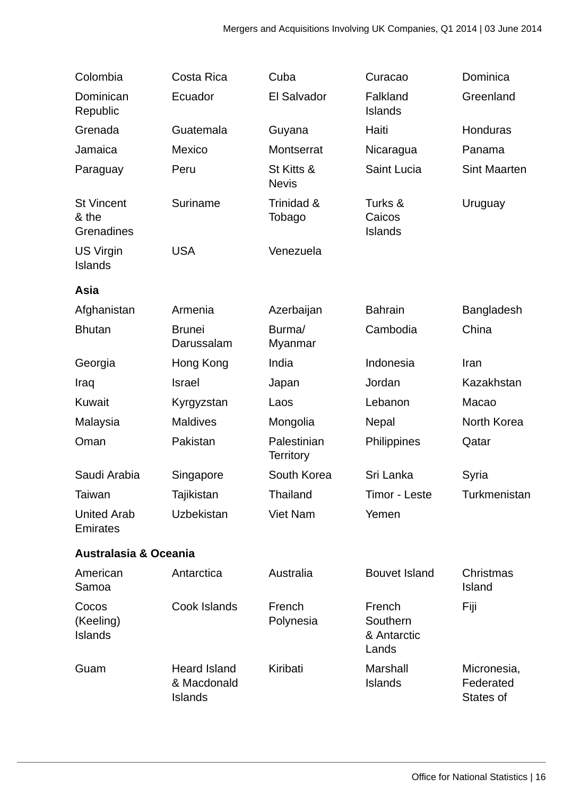| Colombia                                 | Costa Rica                                           | Cuba                            | Curacao                                    | Dominica                              |
|------------------------------------------|------------------------------------------------------|---------------------------------|--------------------------------------------|---------------------------------------|
| Dominican<br>Republic                    | Ecuador                                              | El Salvador                     | Falkland<br><b>Islands</b>                 | Greenland                             |
| Grenada                                  | Guatemala                                            | Guyana                          | Haiti                                      | <b>Honduras</b>                       |
| Jamaica                                  | Mexico                                               | Montserrat                      | Nicaragua                                  | Panama                                |
| Paraguay                                 | Peru                                                 | St Kitts &<br><b>Nevis</b>      | Saint Lucia                                | <b>Sint Maarten</b>                   |
| <b>St Vincent</b><br>& the<br>Grenadines | Suriname                                             | Trinidad &<br>Tobago            | Turks &<br>Caicos<br><b>Islands</b>        | Uruguay                               |
| <b>US Virgin</b><br><b>Islands</b>       | <b>USA</b>                                           | Venezuela                       |                                            |                                       |
| Asia                                     |                                                      |                                 |                                            |                                       |
| Afghanistan                              | Armenia                                              | Azerbaijan                      | <b>Bahrain</b>                             | <b>Bangladesh</b>                     |
| <b>Bhutan</b>                            | <b>Brunei</b><br>Darussalam                          | Burma/<br>Myanmar               | Cambodia                                   | China                                 |
| Georgia                                  | Hong Kong                                            | India                           | Indonesia                                  | Iran                                  |
| Iraq                                     | <b>Israel</b>                                        | Japan                           | Jordan                                     | Kazakhstan                            |
| Kuwait                                   | Kyrgyzstan                                           | Laos                            | Lebanon                                    | Macao                                 |
| Malaysia                                 | <b>Maldives</b>                                      | Mongolia                        | Nepal                                      | North Korea                           |
| Oman                                     | Pakistan                                             | Palestinian<br><b>Territory</b> | Philippines                                | Qatar                                 |
| Saudi Arabia                             | Singapore                                            | South Korea                     | Sri Lanka                                  | Syria                                 |
| Taiwan                                   | Tajikistan                                           | Thailand                        | Timor - Leste                              | Turkmenistan                          |
| <b>United Arab</b><br>Emirates           | <b>Uzbekistan</b>                                    | <b>Viet Nam</b>                 | Yemen                                      |                                       |
| <b>Australasia &amp; Oceania</b>         |                                                      |                                 |                                            |                                       |
| American<br>Samoa                        | Antarctica                                           | Australia                       | <b>Bouvet Island</b>                       | Christmas<br><b>Island</b>            |
| Cocos<br>(Keeling)<br><b>Islands</b>     | Cook Islands                                         | French<br>Polynesia             | French<br>Southern<br>& Antarctic<br>Lands | Fiji                                  |
| Guam                                     | <b>Heard Island</b><br>& Macdonald<br><b>Islands</b> | Kiribati                        | Marshall<br><b>Islands</b>                 | Micronesia,<br>Federated<br>States of |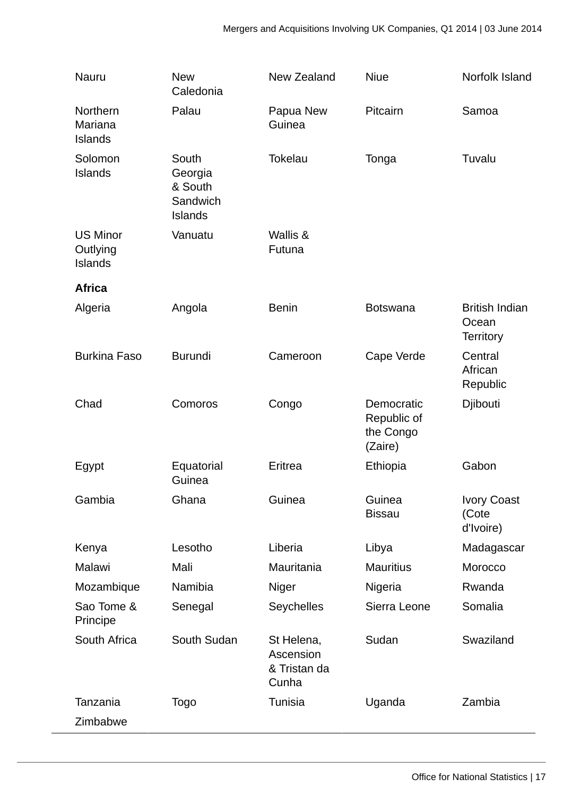| Nauru                                         | <b>New</b><br>Caledonia                                   | New Zealand                                      | <b>Niue</b>                                       | Norfolk Island                                     |
|-----------------------------------------------|-----------------------------------------------------------|--------------------------------------------------|---------------------------------------------------|----------------------------------------------------|
| Northern<br>Mariana<br><b>Islands</b>         | Palau                                                     | Papua New<br>Guinea                              | Pitcairn                                          | Samoa                                              |
| Solomon<br><b>Islands</b>                     | South<br>Georgia<br>& South<br>Sandwich<br><b>Islands</b> | <b>Tokelau</b>                                   | Tonga                                             | Tuvalu                                             |
| <b>US Minor</b><br>Outlying<br><b>Islands</b> | Vanuatu                                                   | Wallis &<br>Futuna                               |                                                   |                                                    |
| <b>Africa</b>                                 |                                                           |                                                  |                                                   |                                                    |
| Algeria                                       | Angola                                                    | <b>Benin</b>                                     | <b>Botswana</b>                                   | <b>British Indian</b><br>Ocean<br><b>Territory</b> |
| <b>Burkina Faso</b>                           | <b>Burundi</b>                                            | Cameroon                                         | Cape Verde                                        | Central<br>African<br>Republic                     |
| Chad                                          | Comoros                                                   | Congo                                            | Democratic<br>Republic of<br>the Congo<br>(Zaire) | Djibouti                                           |
| Egypt                                         | Equatorial<br>Guinea                                      | Eritrea                                          | Ethiopia                                          | Gabon                                              |
| Gambia                                        | Ghana                                                     | Guinea                                           | Guinea<br><b>Bissau</b>                           | <b>Ivory Coast</b><br>(Cote<br>d'Ivoire)           |
| Kenya                                         | Lesotho                                                   | Liberia                                          | Libya                                             | Madagascar                                         |
| Malawi                                        | Mali                                                      | Mauritania                                       | <b>Mauritius</b>                                  | Morocco                                            |
| Mozambique                                    | Namibia                                                   | Niger                                            | Nigeria                                           | Rwanda                                             |
| Sao Tome &<br>Principe                        | Senegal                                                   | Seychelles                                       | Sierra Leone                                      | Somalia                                            |
| South Africa                                  | South Sudan                                               | St Helena,<br>Ascension<br>& Tristan da<br>Cunha | Sudan                                             | Swaziland                                          |
| Tanzania                                      | Togo                                                      | Tunisia                                          | Uganda                                            | Zambia                                             |
| Zimbabwe                                      |                                                           |                                                  |                                                   |                                                    |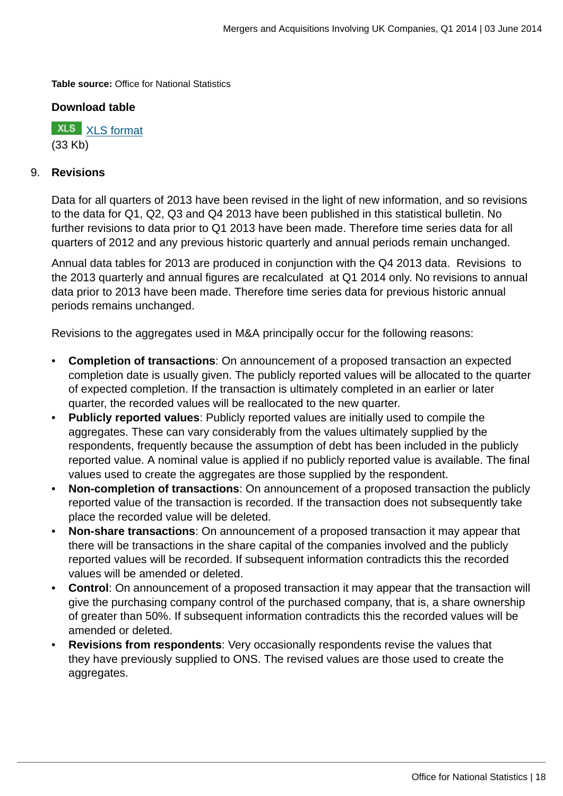**Table source:** Office for National Statistics

#### **Download table**

**XLS** [XLS format](http://www.ons.gov.uk:80/ons/rel/international-transactions/mergers-and-acquisitions-involving-uk-companies/q1-2014/prt-m-a-a.xls) (33 Kb)

#### 9. **Revisions**

Data for all quarters of 2013 have been revised in the light of new information, and so revisions to the data for Q1, Q2, Q3 and Q4 2013 have been published in this statistical bulletin. No further revisions to data prior to Q1 2013 have been made. Therefore time series data for all quarters of 2012 and any previous historic quarterly and annual periods remain unchanged.

Annual data tables for 2013 are produced in conjunction with the Q4 2013 data. Revisions to the 2013 quarterly and annual figures are recalculated at Q1 2014 only. No revisions to annual data prior to 2013 have been made. Therefore time series data for previous historic annual periods remains unchanged.

Revisions to the aggregates used in M&A principally occur for the following reasons:

- **Completion of transactions**: On announcement of a proposed transaction an expected completion date is usually given. The publicly reported values will be allocated to the quarter of expected completion. If the transaction is ultimately completed in an earlier or later quarter, the recorded values will be reallocated to the new quarter.
- **Publicly reported values**: Publicly reported values are initially used to compile the aggregates. These can vary considerably from the values ultimately supplied by the respondents, frequently because the assumption of debt has been included in the publicly reported value. A nominal value is applied if no publicly reported value is available. The final values used to create the aggregates are those supplied by the respondent.
- **Non-completion of transactions**: On announcement of a proposed transaction the publicly reported value of the transaction is recorded. If the transaction does not subsequently take place the recorded value will be deleted.
- **Non-share transactions**: On announcement of a proposed transaction it may appear that there will be transactions in the share capital of the companies involved and the publicly reported values will be recorded. If subsequent information contradicts this the recorded values will be amended or deleted.
- **Control**: On announcement of a proposed transaction it may appear that the transaction will give the purchasing company control of the purchased company, that is, a share ownership of greater than 50%. If subsequent information contradicts this the recorded values will be amended or deleted.
- **Revisions from respondents**: Very occasionally respondents revise the values that they have previously supplied to ONS. The revised values are those used to create the aggregates.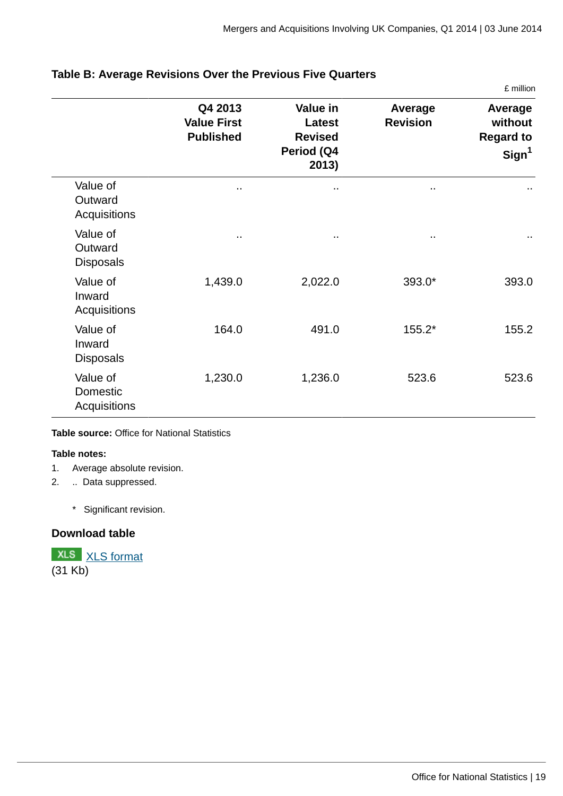£ million

|                                         | Q4 2013<br><b>Value First</b><br><b>Published</b> | Value in<br>Latest<br><b>Revised</b><br>Period (Q4<br>2013) | Average<br><b>Revision</b> | Average<br>without<br><b>Regard to</b><br>Sign <sup>1</sup> |
|-----------------------------------------|---------------------------------------------------|-------------------------------------------------------------|----------------------------|-------------------------------------------------------------|
| Value of<br>Outward<br>Acquisitions     | .,                                                |                                                             | .,                         |                                                             |
| Value of<br>Outward<br><b>Disposals</b> | $\cdot$ .                                         | $\sim$                                                      | $\sim$                     | $\sim$                                                      |
| Value of<br>Inward<br>Acquisitions      | 1,439.0                                           | 2,022.0                                                     | 393.0*                     | 393.0                                                       |
| Value of<br>Inward<br><b>Disposals</b>  | 164.0                                             | 491.0                                                       | 155.2*                     | 155.2                                                       |
| Value of<br>Domestic<br>Acquisitions    | 1,230.0                                           | 1,236.0                                                     | 523.6                      | 523.6                                                       |

#### **Table B: Average Revisions Over the Previous Five Quarters**

#### **Table source:** Office for National Statistics

#### **Table notes:**

- 1. Average absolute revision.
- 2. .. Data suppressed.
	- \* Significant revision.

#### **Download table**

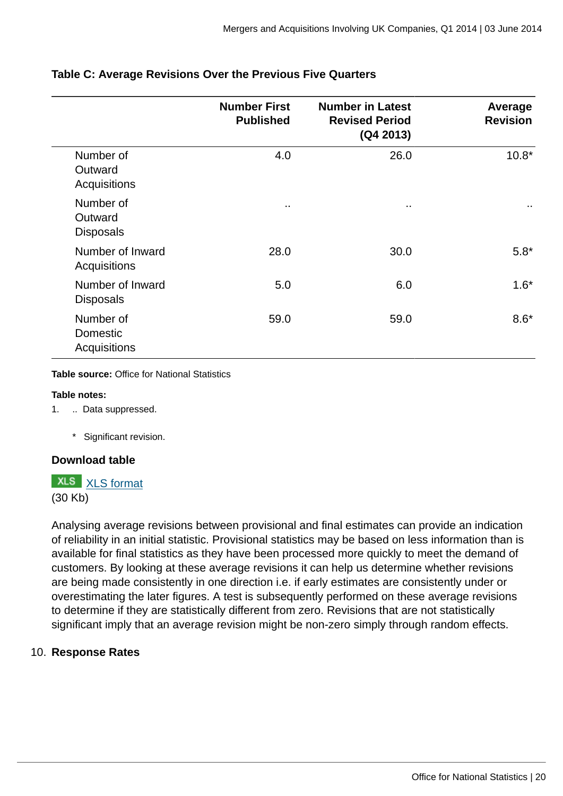|                                          | <b>Number First</b><br><b>Published</b> | <b>Number in Latest</b><br><b>Revised Period</b><br>(Q4 2013) | Average<br><b>Revision</b> |
|------------------------------------------|-----------------------------------------|---------------------------------------------------------------|----------------------------|
| Number of<br>Outward<br>Acquisitions     | 4.0                                     | 26.0                                                          | $10.8*$                    |
| Number of<br>Outward<br><b>Disposals</b> | $\sim$                                  | $\sim$                                                        | $\sim$                     |
| Number of Inward<br>Acquisitions         | 28.0                                    | 30.0                                                          | $5.8*$                     |
| Number of Inward<br><b>Disposals</b>     | 5.0                                     | 6.0                                                           | $1.6*$                     |
| Number of<br>Domestic<br>Acquisitions    | 59.0                                    | 59.0                                                          | $8.6*$                     |

#### **Table C: Average Revisions Over the Previous Five Quarters**

**Table source:** Office for National Statistics

#### **Table notes:**

- 1. .. Data suppressed.
	- \* Significant revision.

#### **Download table**

**XLS** [XLS format](http://www.ons.gov.uk:80/ons/rel/international-transactions/mergers-and-acquisitions-involving-uk-companies/q1-2014/prt-m-a-c.xls)

(30 Kb)

Analysing average revisions between provisional and final estimates can provide an indication of reliability in an initial statistic. Provisional statistics may be based on less information than is available for final statistics as they have been processed more quickly to meet the demand of customers. By looking at these average revisions it can help us determine whether revisions are being made consistently in one direction i.e. if early estimates are consistently under or overestimating the later figures. A test is subsequently performed on these average revisions to determine if they are statistically different from zero. Revisions that are not statistically significant imply that an average revision might be non-zero simply through random effects.

#### 10. **Response Rates**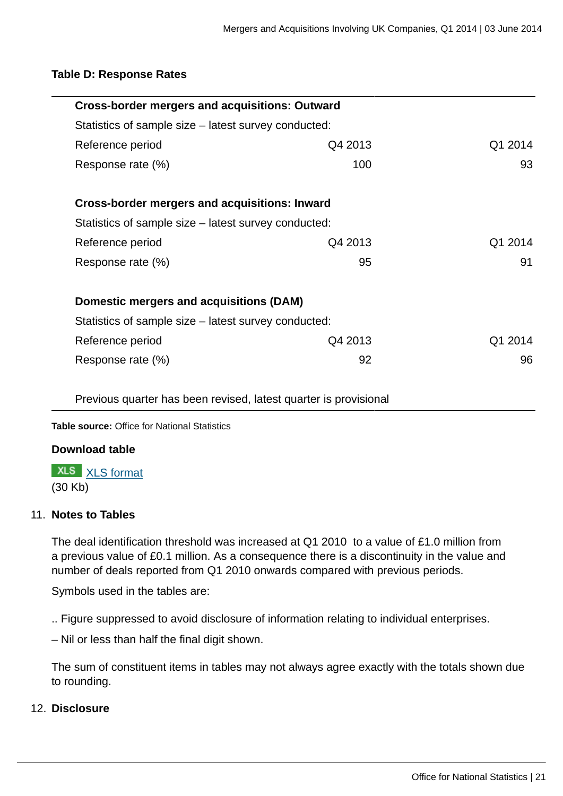#### **Table D: Response Rates**

| <b>Cross-border mergers and acquisitions: Outward</b> |         |         |
|-------------------------------------------------------|---------|---------|
| Statistics of sample size – latest survey conducted:  |         |         |
| Reference period                                      | Q4 2013 | Q1 2014 |
| Response rate (%)                                     | 100     | 93      |
|                                                       |         |         |
| <b>Cross-border mergers and acquisitions: Inward</b>  |         |         |
| Statistics of sample size – latest survey conducted:  |         |         |
| Reference period                                      | Q4 2013 | Q1 2014 |
| Response rate (%)                                     | 95      | 91      |
|                                                       |         |         |
| Domestic mergers and acquisitions (DAM)               |         |         |
| Statistics of sample size – latest survey conducted:  |         |         |
| Reference period                                      | Q4 2013 | Q1 2014 |
| Response rate (%)                                     | 92      | 96      |
|                                                       |         |         |

Previous quarter has been revised, latest quarter is provisional

**Table source:** Office for National Statistics

#### **Download table**

**XLS** [XLS format](http://www.ons.gov.uk:80/ons/rel/international-transactions/mergers-and-acquisitions-involving-uk-companies/q1-2014/prt-m-a-d.xls) (30 Kb)

#### 11. **Notes to Tables**

The deal identification threshold was increased at Q1 2010 to a value of £1.0 million from a previous value of £0.1 million. As a consequence there is a discontinuity in the value and number of deals reported from Q1 2010 onwards compared with previous periods.

Symbols used in the tables are:

.. Figure suppressed to avoid disclosure of information relating to individual enterprises.

– Nil or less than half the final digit shown.

The sum of constituent items in tables may not always agree exactly with the totals shown due to rounding.

#### 12. **Disclosure**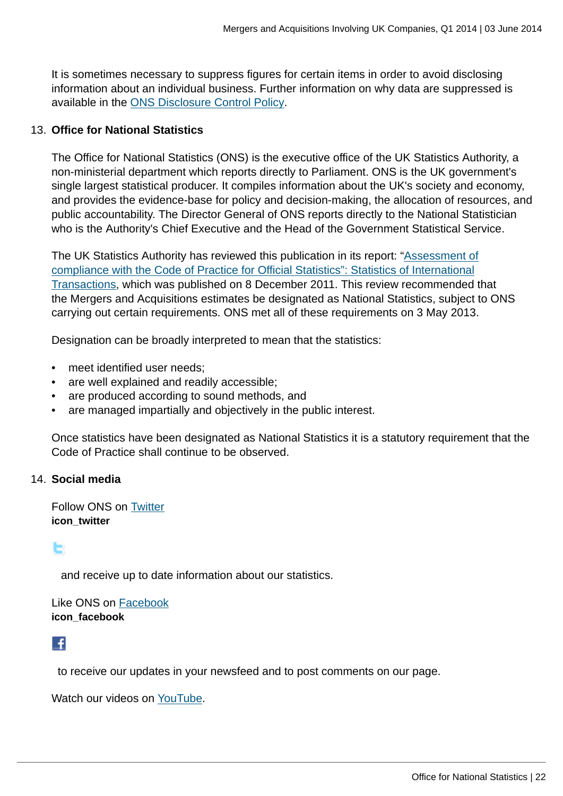It is sometimes necessary to suppress figures for certain items in order to avoid disclosing information about an individual business. Further information on why data are suppressed is available in the [ONS Disclosure Control Policy](http://www.ons.gov.uk:80/ons/guide-method/method-quality/general-methodology/statistical-disclosure-control/index.html).

#### 13. **Office for National Statistics**

The Office for National Statistics (ONS) is the executive office of the UK Statistics Authority, a non-ministerial department which reports directly to Parliament. ONS is the UK government's single largest statistical producer. It compiles information about the UK's society and economy, and provides the evidence-base for policy and decision-making, the allocation of resources, and public accountability. The Director General of ONS reports directly to the National Statistician who is the Authority's Chief Executive and the Head of the Government Statistical Service.

The UK Statistics Authority has reviewed this publication in its report: "[Assessment of](http://www.statisticsauthority.gov.uk/assessment/assessment/assessment-reports/assessment-report-164---statistics-on-international-transactions.pdf) [compliance with the Code of Practice for Official Statistics": Statistics of International](http://www.statisticsauthority.gov.uk/assessment/assessment/assessment-reports/assessment-report-164---statistics-on-international-transactions.pdf) [Transactions,](http://www.statisticsauthority.gov.uk/assessment/assessment/assessment-reports/assessment-report-164---statistics-on-international-transactions.pdf) which was published on 8 December 2011. This review recommended that the Mergers and Acquisitions estimates be designated as National Statistics, subject to ONS carrying out certain requirements. ONS met all of these requirements on 3 May 2013.

Designation can be broadly interpreted to mean that the statistics:

- meet identified user needs;
- are well explained and readily accessible;
- are produced according to sound methods, and
- are managed impartially and objectively in the public interest.

Once statistics have been designated as National Statistics it is a statutory requirement that the Code of Practice shall continue to be observed.

#### 14. **Social media**

Follow ONS on [Twitter](http://www.ons.gov.uk:80/ons/external-links/social-media/twitter.html) **icon\_twitter**

## E

and receive up to date information about our statistics.

Like ONS on [Facebook](http://www.ons.gov.uk:80/ons/external-links/social-media/index.html) **icon\_facebook**

## K

to receive our updates in your newsfeed and to post comments on our page.

Watch our videos on [YouTube.](http://www.ons.gov.uk:80/ons/external-links/social-media/youtube.html)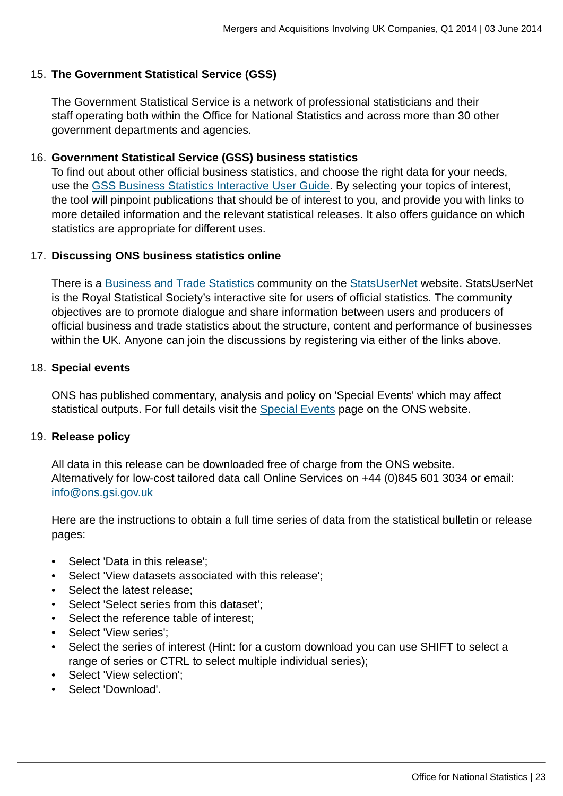#### 15. **The Government Statistical Service (GSS)**

The Government Statistical Service is a network of professional statisticians and their staff operating both within the Office for National Statistics and across more than 30 other government departments and agencies.

#### 16. **Government Statistical Service (GSS) business statistics**

To find out about other official business statistics, and choose the right data for your needs, use the [GSS Business Statistics Interactive User Guide](http://www.ons.gov.uk:80/ons/guide-method/understanding-ons-statistics/business-statistics---interactive-user-guide/index.html). By selecting your topics of interest, the tool will pinpoint publications that should be of interest to you, and provide you with links to more detailed information and the relevant statistical releases. It also offers guidance on which statistics are appropriate for different uses.

#### 17. **Discussing ONS business statistics online**

There is a [Business and Trade Statistics](http://www.ons.gov.uk:80/ons/external-links/organisations/statsusernet/business-and-trade-statistics.html) community on the [StatsUserNet](http://www.ons.gov.uk:80/ons/external-links/organisations/statsusernet/statsusernet-home.html) website. StatsUserNet is the Royal Statistical Society's interactive site for users of official statistics. The community objectives are to promote dialogue and share information between users and producers of official business and trade statistics about the structure, content and performance of businesses within the UK. Anyone can join the discussions by registering via either of the links above.

#### 18. **Special events**

ONS has published commentary, analysis and policy on 'Special Events' which may affect statistical outputs. For full details visit the **[Special Events](http://www.ons.gov.uk:80/ons/guide-method/method-quality/general-methodology/special-events-group/index.html) page on the ONS website.** 

#### 19. **Release policy**

All data in this release can be downloaded free of charge from the ONS website. Alternatively for low-cost tailored data call Online Services on +44 (0)845 601 3034 or email: [info@ons.gsi.gov.uk](mailto:info@ons.gsi.gov.uk)

Here are the instructions to obtain a full time series of data from the statistical bulletin or release pages:

- Select 'Data in this release';
- Select 'View datasets associated with this release';
- Select the latest release;
- Select 'Select series from this dataset';
- Select the reference table of interest;
- Select 'View series';
- Select the series of interest (Hint: for a custom download you can use SHIFT to select a range of series or CTRL to select multiple individual series);
- Select 'View selection';
- Select 'Download'.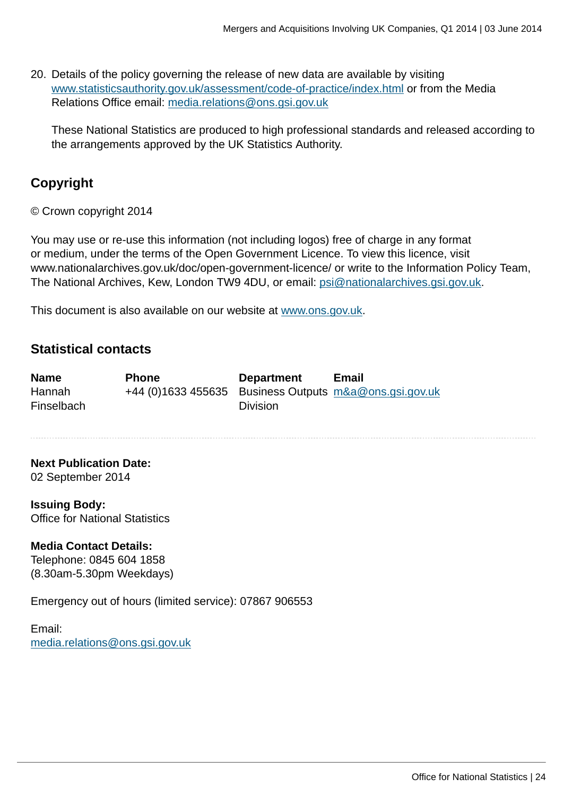20. Details of the policy governing the release of new data are available by visiting [www.statisticsauthority.gov.uk/assessment/code-of-practice/index.html](http://www.statisticsauthority.gov.uk/assessment/code-of-practice/index.html) or from the Media Relations Office email: [media.relations@ons.gsi.gov.uk](mailto:media.relations@ons.gsi.gov.uk)

These National Statistics are produced to high professional standards and released according to the arrangements approved by the UK Statistics Authority.

## **Copyright**

© Crown copyright 2014

You may use or re-use this information (not including logos) free of charge in any format or medium, under the terms of the Open Government Licence. To view this licence, visit www.nationalarchives.gov.uk/doc/open-government-licence/ or write to the Information Policy Team, The National Archives, Kew, London TW9 4DU, or email: [psi@nationalarchives.gsi.gov.uk](mailto:psi@nationalarchives.gsi.gov.uk).

This document is also available on our website at [www.ons.gov.uk.](http://www.ons.gov.uk/)

### **Statistical contacts**

| <b>Name</b> | <b>Phone</b>                                           | <b>Department</b> | Email |
|-------------|--------------------------------------------------------|-------------------|-------|
| Hannah      | +44 (0)1633 455635 Business Outputs m&a@ons.gsi.gov.uk |                   |       |
| Finselbach  |                                                        | <b>Division</b>   |       |

**Next Publication Date:** 02 September 2014

**Issuing Body:** Office for National Statistics

### **Media Contact Details:**

Telephone: 0845 604 1858 (8.30am-5.30pm Weekdays)

Emergency out of hours (limited service): 07867 906553

Email: [media.relations@ons.gsi.gov.uk](mailto:media.relations@ons.gsi.gov.uk)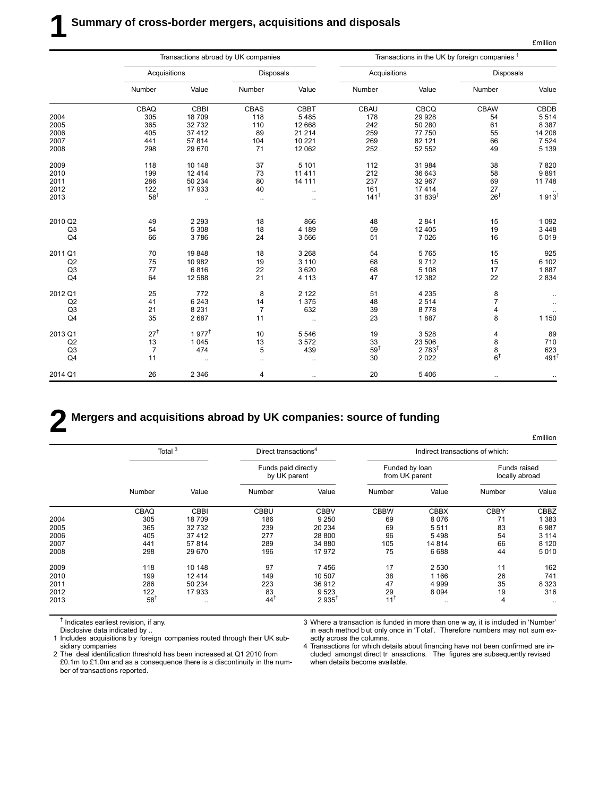|                |                 |                      | Transactions abroad by UK companies |                      |                 | Transactions in the UK by foreign companies 1 |                                       |                      |  |
|----------------|-----------------|----------------------|-------------------------------------|----------------------|-----------------|-----------------------------------------------|---------------------------------------|----------------------|--|
|                | Acquisitions    |                      | <b>Disposals</b>                    |                      | Acquisitions    |                                               | <b>Disposals</b>                      |                      |  |
|                | Number          | Value                | Number                              | Value                | Number          | Value                                         | Number                                | Value                |  |
|                | CBAQ            | CBBI                 | <b>CBAS</b>                         | <b>CBBT</b>          | CBAU            | CBCQ                                          | <b>CBAW</b>                           | CBDB                 |  |
| 2004           | 305             | 18709                | 118                                 | 5485                 | 178             | 29 9 28                                       | 54                                    | 5 5 1 4              |  |
| 2005           | 365             | 32732                | 110                                 | 12 668               | 242             | 50 280                                        | 61                                    | 8 3 8 7              |  |
| 2006           | 405             | 37 4 12              | 89                                  | 21 214               | 259             | 77 750                                        | 55                                    | 14 208               |  |
| 2007           | 441             | 57814                | 104                                 | 10 221               | 269             | 82 121                                        | 66                                    | 7 5 24               |  |
| 2008           | 298             | 29 670               | 71                                  | 12 062               | 252             | 52 552                                        | 49                                    | 5 1 3 9              |  |
| 2009           | 118             | 10 148               | 37                                  | 5 1 0 1              | 112             | 31 984                                        | 38                                    | 7820                 |  |
| 2010           | 199             | 12 4 14              | 73                                  | 11 4 11              | 212             | 36 643                                        | 58                                    | 9891                 |  |
| 2011           | 286             | 50 234               | 80                                  | 14 111               | 237             | 32 967                                        | 69                                    | 11748                |  |
| 2012           | 122             | 17933                | 40                                  | $\ddot{\phantom{0}}$ | 161             | 17414                                         | $\frac{27}{26}$ <sup>†</sup>          |                      |  |
| 2013           | $58^{\dagger}$  | $\ddotsc$            | $\ddotsc$                           | $\ddotsc$            | $141^{\dagger}$ | 31 839 <sup>t</sup>                           |                                       | $1913^{\frac{1}{1}}$ |  |
| 2010 Q2        | 49              | 2 2 9 3              | 18                                  | 866                  | 48              | 2841                                          | 15                                    | 1 0 9 2              |  |
| Q3             | 54              | 5 3 0 8              | 18                                  | 4 1 8 9              | 59              | 12 4 05                                       | 19                                    | 3 4 4 8              |  |
| Q <sub>4</sub> | 66              | 3786                 | 24                                  | 3566                 | 51              | 7 0 26                                        | 16                                    | 5019                 |  |
| 2011 Q1        | 70              | 19848                | 18                                  | 3 2 6 8              | 54              | 5765                                          | 15                                    | 925                  |  |
| Q2             | 75              | 10 982               | 19                                  | 3 1 1 0              | 68              | 9712                                          | 15                                    | 6 102                |  |
| Q <sub>3</sub> | 77              | 6816                 | 22                                  | 3620                 | 68              | 5 1 0 8                                       | 17                                    | 1887                 |  |
| Q <sub>4</sub> | 64              | 12 5 8 8             | 21                                  | 4 1 1 3              | 47              | 12 3 8 2                                      | 22                                    | 2 8 3 4              |  |
| 2012 Q1        | 25              | 772                  | 8                                   | 2 1 2 2              | 51              | 4 2 3 5                                       | $\begin{array}{c} 8 \\ 7 \end{array}$ |                      |  |
| Q2             | 41              | 6 2 4 3              | 14                                  | 1 3 7 5              | 48              | 2514                                          |                                       | $\ddotsc$            |  |
| Q3             | 21              | 8 2 3 1              | $\overline{7}$                      | 632                  | 39              | 8778                                          | 4                                     |                      |  |
| Q <sub>4</sub> | 35              | 2687                 | 11                                  | ä,                   | 23              | 1887                                          | 8                                     | 1 1 5 0              |  |
| 2013 Q1        | 27 <sup>†</sup> | $1.977$ <sup>†</sup> | 10                                  | 5 5 4 6              | 19              | 3528                                          | 4                                     | 89                   |  |
| Q2             | 13              | 1 0 4 5              | 13                                  | 3572                 | 33              | 23 506                                        |                                       | 710                  |  |
| Q3             | $\overline{7}$  | 474                  | 5                                   | 439                  | 59 <sup>†</sup> | $2783^{\dagger}$                              | $88$<br>$6^{+}$                       | 623                  |  |
| Q <sub>4</sub> | 11              | $\ldots$             | $\ldots$                            |                      | 30              | 2 0 2 2                                       |                                       | $491$ <sup>t</sup>   |  |
| 2014 Q1        | 26              | 2 3 4 6              | 4                                   | $\ddotsc$            | 20              | 5 4 0 6                                       | $\ddotsc$                             |                      |  |

## **2 Mergers and acquisitions abroad by UK companies: source of funding**

£million Total 3 **Direct transactions** <sup>4</sup> **Direct transactions Indirect transactions of which:** Funds paid directly **Funded by loan** Funds raised<br>by UK parent from UK parent locally abroad by UK parent in the from UK parent Number Value Number Value Number Value Number Value CBAQ CBBI CBBU CBBV CBBW CBBX CBBY CBBZ 2004 305 18 709 186 9 250 69 8 076 71 1 383 2005 365 32 732 239 20 234 69 5 511 83 6 987 2006 405 37 412 277 28 800 96 5 498 54 3 114 2007 441 57 814 289 34 880 105 14 814 66 8 120 2008 298 29 670 196 17 972 75 6 688 44 5 010 2009 118 10 148 97 7 456 17 2 530 11 162 2010 199 12 414 149 10 507 38 1 166 26 741 2011 286 50 234 223 36 912 47 4 999 35 8 323 2012 122 17 933 83 9 523 29 8 094 19 316 2013 58† .. 44† 2 935† 11† .. 4 ..

† Indicates earliest revision, if any.

Disclosive data indicated by ..

1 Includes acquisitions b y foreign companies routed through their UK subsidiary companies

2 The deal identification threshold has been increased at Q1 2010 from £0.1m to £1.0m and as a consequence there is a discontinuity in the number of transactions reported.

3 Where a transaction is funded in more than one w ay, it is included in 'Number' in each method b ut only once in 'T otal'. Therefore numbers may not sum exactly across the columns.

4 Transactions for which details about financing have not been confirmed are included amongst direct tr ansactions. The figures are subsequently revised when details become available.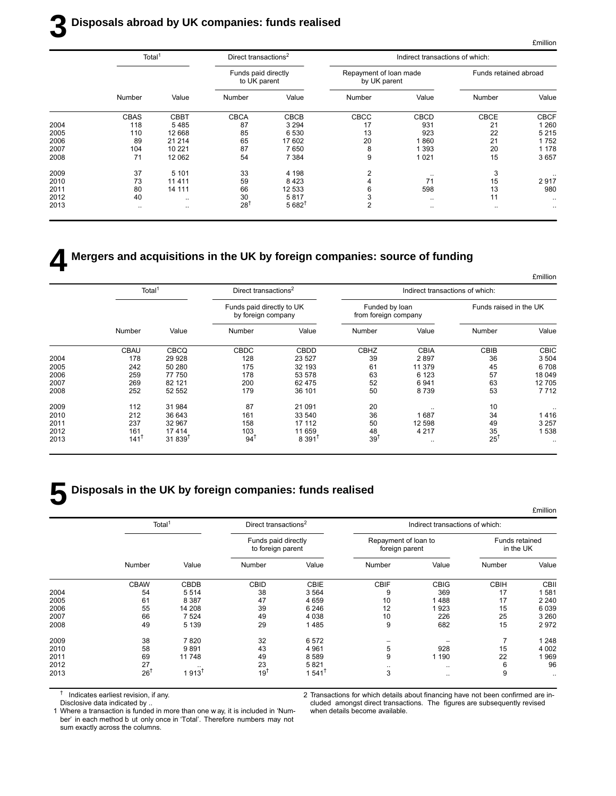## **3 Disposals abroad by UK companies: funds realised**

| Total <sup>1</sup> |             |             |                  |                                                                         |             |                                        |                                 |
|--------------------|-------------|-------------|------------------|-------------------------------------------------------------------------|-------------|----------------------------------------|---------------------------------|
|                    |             |             |                  |                                                                         |             | Funds retained abroad                  |                                 |
| Number             | Value       | Number      | Value            | Number                                                                  | Value       | Number                                 | Value                           |
| <b>CBAS</b>        | <b>CBBT</b> | <b>CBCA</b> | <b>CBCB</b>      | CBCC                                                                    | <b>CBCD</b> | <b>CBCE</b>                            | <b>CBCF</b>                     |
| 118                | 5485        | 87          | 3 2 9 4          | 17                                                                      | 931         | 21                                     | 1 2 6 0                         |
| 110                | 12 668      | 85          | 6 5 3 0          | 13                                                                      | 923         | 22                                     | 5215                            |
| 89                 | 21 214      | 65          | 17 602           | 20                                                                      | 1860        | 21                                     | 1752                            |
| 104                | 10 221      | 87          | 7650             | 8                                                                       | 1 3 9 3     | 20                                     | 1 1 7 8                         |
| 71                 | 12 062      | 54          | 7 3 8 4          | 9                                                                       | 1 0 2 1     | 15                                     | 3657                            |
| 37                 | 5 1 0 1     | 33          | 4 1 9 8          | 2                                                                       | $\cdot$ .   | 3                                      | $\cdot$ .                       |
| 73                 | 11 4 11     | 59          | 8423             |                                                                         | 71          | 15                                     | 2917                            |
| 80                 | 14 111      | 66          | 12 533           |                                                                         | 598         | 13                                     | 980                             |
| 40                 |             | 30          | 5817             |                                                                         | $\ddotsc$   | 11                                     |                                 |
| $\ddotsc$          | $\ddotsc$   | 28          | $5682^{\dagger}$ | $\overline{2}$                                                          | $\ddotsc$   | $\ddotsc$                              |                                 |
|                    |             |             |                  | Direct transactions <sup>2</sup><br>Funds paid directly<br>to UK parent |             | Repayment of loan made<br>by UK parent | Indirect transactions of which: |

## **4 Mergers and acquisitions in the UK by foreign companies: source of funding**

|             |                        | Indirect transactions of which: |                                        |                    | Direct transactions <sup>2</sup>                |              | Total <sup>1</sup> |      |
|-------------|------------------------|---------------------------------|----------------------------------------|--------------------|-------------------------------------------------|--------------|--------------------|------|
|             | Funds raised in the UK |                                 | Funded by loan<br>from foreign company |                    | Funds paid directly to UK<br>by foreign company |              |                    |      |
| Value       | Number                 | Value                           | Number                                 | Value              | Number                                          | Value        | Number             |      |
| <b>CBIC</b> | CBIB                   | <b>CBIA</b>                     | CBHZ                                   | <b>CBDD</b>        | <b>CBDC</b>                                     | <b>CBCQ</b>  | <b>CBAU</b>        |      |
| 3 5 0 4     | 36                     | 2897                            | 39                                     | 23 5 27            | 128                                             | 29 9 28      | 178                | 2004 |
| 6708        | 45                     | 11 379                          | 61                                     | 32 193             | 175                                             | 50 280       | 242                | 2005 |
| 18 049      | 57                     | 6 1 2 3                         | 63                                     | 53 578             | 178                                             | 77 750       | 259                | 2006 |
| 12705       | 63                     | 6941                            | 52                                     | 62 475             | 200                                             | 82 121       | 269                | 2007 |
| 7712        | 53                     | 8739                            | 50                                     | 36 101             | 179                                             | 52 552       | 252                | 2008 |
|             | 10                     |                                 | 20                                     | 21 091             | 87                                              | 31 984       | 112                | 2009 |
| 1416        | 34                     | 1687                            | 36                                     | 33 540             | 161                                             | 36 643       | 212                | 2010 |
| 3 2 5 7     | 49                     | 12 598                          | 50                                     | 17 112             | 158                                             | 32 967       | 237                | 2011 |
| 1538        | 35                     | 4 2 1 7                         | 48                                     | 11 659             | 103                                             | 17414        | 161                | 2012 |
| $\cdot$ .   | $25^{\dagger}$         |                                 | $39^{\dagger}$                         | 8.391 <sup>†</sup> | $94^1$                                          | $31.839^{T}$ | $141^T$            | 2013 |

## **5 Disposals in the UK by foreign companies: funds realised**

|      |                    |                  |                                          |                      |                                        |                                 |                             | <b>£million</b> |
|------|--------------------|------------------|------------------------------------------|----------------------|----------------------------------------|---------------------------------|-----------------------------|-----------------|
|      | Total <sup>1</sup> |                  | Direct transactions <sup>2</sup>         |                      |                                        | Indirect transactions of which: |                             |                 |
|      |                    |                  | Funds paid directly<br>to foreign parent |                      | Repayment of loan to<br>foreign parent |                                 | Funds retained<br>in the UK |                 |
|      | Number             | Value            | Number                                   | Value                | Number                                 | Value                           | Number                      | Value           |
|      | <b>CBAW</b>        | CBDB             | <b>CBID</b>                              | <b>CBIE</b>          | <b>CBIF</b>                            | <b>CBIG</b>                     | <b>CBIH</b>                 | <b>CBII</b>     |
| 2004 | 54                 | 5514             | 38                                       | 3564                 | 9                                      | 369                             | 17                          | 1581            |
| 2005 | 61                 | 8 3 8 7          | 47                                       | 4 6 5 9              | 10                                     | 488                             | 17                          | 2 2 4 0         |
| 2006 | 55                 | 14 208           | 39                                       | 6 2 4 6              | 12                                     | 923                             | 15                          | 6039            |
| 2007 | 66                 | 7 5 24           | 49                                       | 4 0 38               | 10                                     | 226                             | 25                          | 3 2 6 0         |
| 2008 | 49                 | 5 1 3 9          | 29                                       | 1485                 | 9                                      | 682                             | 15                          | 2972            |
| 2009 | 38                 | 7820             | 32                                       | 6 5 7 2              |                                        |                                 |                             | 1 2 4 8         |
| 2010 | 58                 | 9891             | 43                                       | 4 9 6 1              | 5                                      | 928                             | 15                          | 4 0 0 2         |
| 2011 | 69                 | 11748            | 49                                       | 8 5 8 9              | 9                                      | 190                             | 22                          | 1969            |
| 2012 | 27                 |                  | 23                                       | 5821                 |                                        | $\ddotsc$                       | 6                           | 96              |
| 2013 | $26^{\dagger}$     | $1913^{\dagger}$ | 19 <sup>†</sup>                          | $1.541$ <sup>†</sup> | 3                                      | $\cdots$                        | 9                           | $\ddotsc$       |

† Indicates earliest revision, if any.

Disclosive data indicated by ..

2 Transactions for which details about financing have not been confirmed are included amongst direct transactions. The figures are subsequently revised when details become available.

1 Where a transaction is funded in more than one w ay, it is included in 'Number' in each method b ut only once in 'Total'. Therefore numbers may not sum exactly across the columns.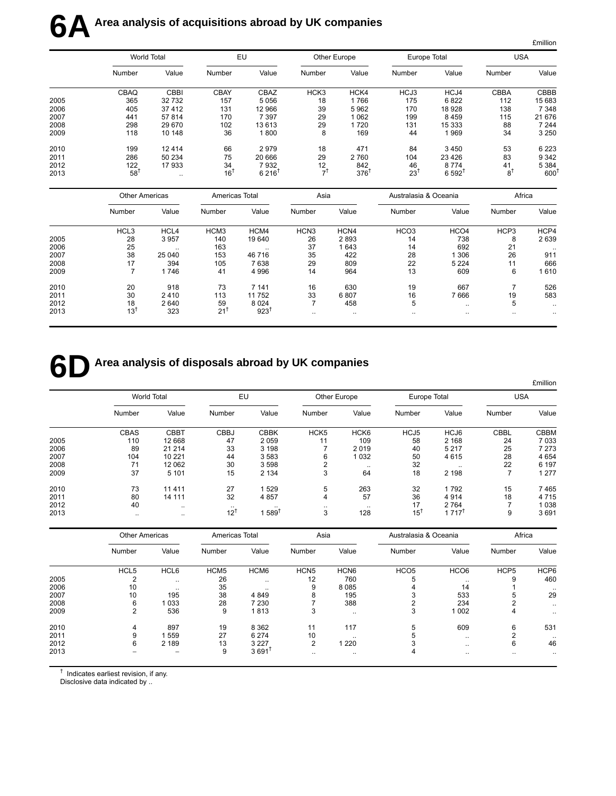# **6A** Area analysis of acquisitions abroad by UK companies

|      |        |                    |             |                  |        |              |        |                      |             | <b>£million</b> |
|------|--------|--------------------|-------------|------------------|--------|--------------|--------|----------------------|-------------|-----------------|
|      |        | <b>World Total</b> |             | EU               |        | Other Europe |        | Europe Total         | <b>USA</b>  |                 |
|      | Number | Value              | Number      | Value            | Number | Value        | Number | Value                | Number      | Value           |
|      | CBAQ   | <b>CBBI</b>        | <b>CBAY</b> | CBAZ             | HCK3   | HCK4         | HCJ3   | HCJ4                 | <b>CBBA</b> | CBBB            |
| 2005 | 365    | 32 732             | 157         | 5056             | 18     | 1766         | 175    | 6822                 | 112         | 15 683          |
| 2006 | 405    | 37 412             | 131         | 12 966           | 39     | 5962         | 170    | 18 9 28              | 138         | 7 3 4 8         |
| 2007 | 441    | 57814              | 170         | 7 3 9 7          | 29     | 1062         | 199    | 8459                 | 115         | 21 676          |
| 2008 | 298    | 29 670             | 102         | 13 613           | 29     | 1720         | 131    | 15 3 33              | 88          | 7 2 4 4         |
| 2009 | 118    | 10 148             | 36          | 1800             | 8      | 169          | 44     | 1969                 | 34          | 3 2 5 0         |
| 2010 | 199    | 12 4 14            | 66          | 2979             | 18     | 471          | 84     | 3450                 | 53          | 6 2 2 3         |
| 2011 | 286    | 50 234             | 75          | 20 666           | 29     | 2760         | 104    | 23 4 26              | 83          | 9 3 4 2         |
| 2012 | 122    | 17933              | 34          | 7932             | 12     | 842          | 46     | 8774                 | 41          | 5 3 8 4         |
| 2013 | 58     |                    | 16          | $6216^{\dagger}$ | -1     | 376          | $23^1$ | $6.592$ <sup>T</sup> | $8^1$       | 600             |

|      | <b>Other Americas</b> |                      | Americas Total   |           | Asia             |           | Australasia & Oceania |                  | Africa    |           |
|------|-----------------------|----------------------|------------------|-----------|------------------|-----------|-----------------------|------------------|-----------|-----------|
|      | Number                | Value                | Number           | Value     | Number           | Value     | Number                | Value            | Number    | Value     |
|      | HCL <sub>3</sub>      | HCL4                 | HCM <sub>3</sub> | HCM4      | HCN <sub>3</sub> | HCN4      | HCO <sub>3</sub>      | HCO <sub>4</sub> | HCP3      | HCP4      |
| 2005 | 28                    | 3957                 | 140              | 19 640    | 26               | 2893      | 14                    | 738              | 8         | 2639      |
| 2006 | 25                    | $\ddot{\phantom{0}}$ | 163              | $\cdot$ . | 37               | 1643      | 14                    | 692              | 21        | $\cdot$ . |
| 2007 | 38                    | 25 040               | 153              | 46 716    | 35               | 422       | 28                    | 1 306            | 26        | 911       |
| 2008 | 17                    | 394                  | 105              | 7638      | 29               | 809       | 22                    | 5 2 2 4          | 11        | 666       |
| 2009 |                       | 1746                 | 41               | 4 9 9 6   | 14               | 964       | 13                    | 609              | 6         | 610       |
| 2010 | 20                    | 918                  | 73               | 7 1 4 1   | 16               | 630       | 19                    | 667              |           | 526       |
| 2011 | 30                    | 2410                 | 113              | 11752     | 33               | 6807      | 16                    | 7666             | 19        | 583       |
| 2012 | 18                    | 2640                 | 59               | 8 0 2 4   |                  | 458       | 5                     | $\cdot$          | 5         | $\cdot$ . |
| 2013 | $13^{\dagger}$        | 323                  | $21^{1}$         | 923       | $\cdot$          | $\ddotsc$ |                       | $\cdot$          | $\ddotsc$ |           |

## **6D** Area analysis of disposals abroad by UK companies

|      |             |                    |             |             |                  |                  |              |                     |             | <b>£million</b> |  |
|------|-------------|--------------------|-------------|-------------|------------------|------------------|--------------|---------------------|-------------|-----------------|--|
|      |             | <b>World Total</b> |             | EU          |                  | Other Europe     |              | Europe Total        |             | <b>USA</b>      |  |
|      | Number      | Value              | Number      | Value       | Number           | Value            | Number       | Value               | Number      | Value           |  |
|      | <b>CBAS</b> | <b>CBBT</b>        | <b>CBBJ</b> | <b>CBBK</b> | HCK <sub>5</sub> | HCK <sub>6</sub> | HCJ5         | HCJ6                | <b>CBBL</b> | <b>CBBM</b>     |  |
| 2005 | 110         | 12 668             | 47          | 2059        | 11               | 109              | 58           | 2 1 6 8             | 24          | 7033            |  |
| 2006 | 89          | 21 214             | 33          | 3 1 9 8     |                  | 2019             | 40           | 5 2 1 7             | 25          | 7 2 7 3         |  |
| 2007 | 104         | 10 221             | 44          | 3583        | 6                | 1 0 3 2          | 50           | 4615                | 28          | 4 6 5 4         |  |
| 2008 | 71          | 12 062             | 30          | 3 5 9 8     | 2                | $\cdot$ .        | 32           | $\ddotsc$           | 22          | 6 197           |  |
| 2009 | 37          | 5 1 0 1            | 15          | 2 1 3 4     | 3                | 64               | 18           | 2 1 9 8             |             | 1 277           |  |
| 2010 | 73          | 11 4 11            | 27          | 1529        | 5                | 263              | 32           | 1792                | 15          | 7465            |  |
| 2011 | 80          | 14 111             | 32          | 4 8 5 7     | 4                | 57               | 36           | 4914                | 18          | 4715            |  |
| 2012 | 40          | $\cdot$ .          |             |             | $\cdot$ .        | $\cdot$ .        | 17           | 2 7 6 4             |             | 1038            |  |
| 2013 |             | $\cdot$ .          | $12^{1}$    | $1.589^{T}$ | 3                | 128              | $15^{\circ}$ | $1717$ <sup>T</sup> | 9           | 3691            |  |

|      | <b>Other Americas</b> |           | Americas Total   |                     | Asia             |                  | Australasia & Oceania |                  | Africa           |           |
|------|-----------------------|-----------|------------------|---------------------|------------------|------------------|-----------------------|------------------|------------------|-----------|
|      | Number                | Value     | Number           | Value               | Number           | Value            | Number                | Value            | Number           | Value     |
|      | HCL <sub>5</sub>      | HCL6      | HCM <sub>5</sub> | HCM6                | HCN <sub>5</sub> | HCN <sub>6</sub> | HCO <sub>5</sub>      | HCO <sub>6</sub> | HCP <sub>5</sub> | HCP6      |
| 2005 |                       | $\ddotsc$ | 26               |                     | 12               | 760              |                       |                  | 9                | 460       |
| 2006 | 10                    | $\cdots$  | 35               | $\ddotsc$           |                  | 8 0 8 5          |                       | 14               |                  | $\ddotsc$ |
| 2007 | 10                    | 195       | 38               | 4 8 4 9             | 8                | 195              |                       | 533              | 5                | 29        |
| 2008 | 6                     | 1033      | 28               | 7 2 3 0             |                  | 388              |                       | 234              |                  | $\ddotsc$ |
| 2009 | 2                     | 536       | 9                | 1813                | 3                | $\ddotsc$        | 3                     | 1 0 0 2          |                  | $\ddotsc$ |
| 2010 | 4                     | 897       | 19               | 8 3 6 2             | 11               | 117              | 5                     | 609              | 6                | 531       |
| 2011 | 9                     | 559       | 27               | 6 2 7 4             | 10               | $\ddotsc$        |                       | $\ddotsc$        |                  | $\ddotsc$ |
| 2012 | 6                     | 2 1 8 9   | 13               | 3 2 2 7             | $\overline{2}$   | 1 2 2 0          |                       | $\ddotsc$        | 6                | 46        |
| 2013 |                       |           | 9                | $3691$ <sup>1</sup> | $\ddotsc$        | $\ddotsc$        | 4                     | $\ddotsc$        | $\ddotsc$        |           |

 $<sup>†</sup>$  Indicates earliest revision, if any.</sup>

Disclosive data indicated by ..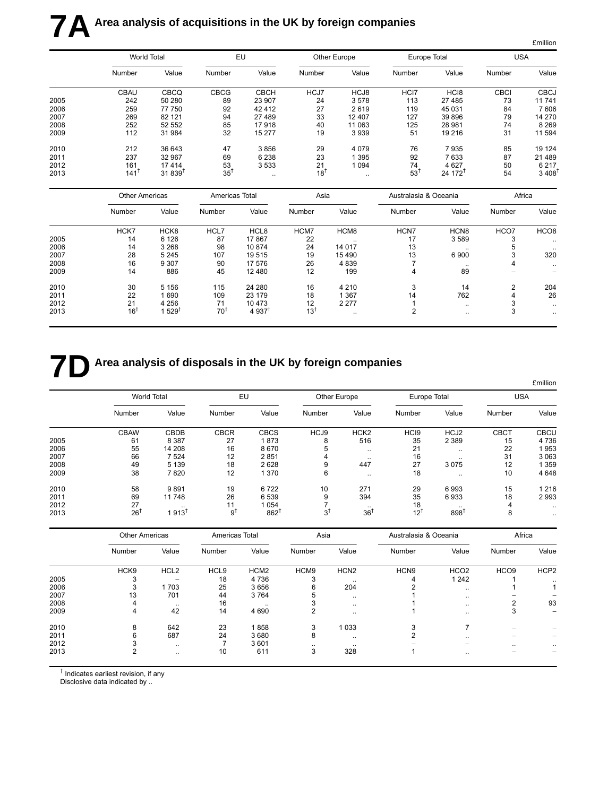# **7A** Area analysis of acquisitions in the UK by foreign companies

|      |                    |              |                |             |              |           |              |                     |             | <b>£million</b> |
|------|--------------------|--------------|----------------|-------------|--------------|-----------|--------------|---------------------|-------------|-----------------|
|      | <b>World Total</b> |              | EU             |             | Other Europe |           | Europe Total |                     | <b>USA</b>  |                 |
|      | Number             | Value        | Number         | Value       | Number       | Value     | Number       | Value               | Number      | Value           |
|      | <b>CBAU</b>        | <b>CBCQ</b>  | <b>CBCG</b>    | <b>CBCH</b> | HCJ7         | HCJ8      | HCI7         | HC <sub>18</sub>    | <b>CBCI</b> | <b>CBCJ</b>     |
| 2005 | 242                | 50 280       | 89             | 23 907      | 24           | 3578      | 113          | 27 485              | 73          | 11741           |
| 2006 | 259                | 77 750       | 92             | 42412       | 27           | 2619      | 119          | 45 031              | 84          | 7606            |
| 2007 | 269                | 82 121       | 94             | 27 489      | 33           | 12 407    | 127          | 39 896              | 79          | 14 270          |
| 2008 | 252                | 52 552       | 85             | 17918       | 40           | 11 063    | 125          | 28 981              | 74          | 8 2 6 9         |
| 2009 | 112                | 31984        | 32             | 15 277      | 19           | 3939      | 51           | 19 216              | 31          | 11 594          |
| 2010 | 212                | 36 643       | 47             | 3856        | 29           | 4 0 7 9   | 76           | 7935                | 85          | 19 124          |
| 2011 | 237                | 32 967       | 69             | 6 2 3 8     | 23           | 1 3 9 5   | 92           | 7633                | 87          | 21 489          |
| 2012 | 161                | 17414        | 53             | 3 5 3 3     | 21           | 1 0 9 4   | 74           | 4 6 27              | 50          | 6 2 1 7         |
| 2013 | 141                | $31.839^{T}$ | $35^{\dagger}$ | $\ddotsc$   | $18^{1}$     | $\cdot$ . | 53           | 24 172 <sup>T</sup> | 54          | 3,408           |

|      | <b>Other Americas</b> |                     | Americas Total  |                     | Asia     |           | Australasia & Oceania |                      | Africa         |                  |
|------|-----------------------|---------------------|-----------------|---------------------|----------|-----------|-----------------------|----------------------|----------------|------------------|
|      | Number                | Value               | Number          | Value               | Number   | Value     | Number                | Value                | Number         | Value            |
|      | HCK7                  | HCK8                | HCL7            | HCL8                | HCM7     | HCM8      | HCN7                  | HCN <sub>8</sub>     | HCO7           | HCO <sub>8</sub> |
| 2005 | 14                    | 6 1 2 6             | 87              | 17867               | 22       | $\cdot$ . | 17                    | 3589                 | З              | $\cdot$          |
| 2006 | 14                    | 3 2 6 8             | 98              | 10874               | 24       | 14 017    | 13                    | $\ddot{\phantom{0}}$ |                | $\ddotsc$        |
| 2007 | 28                    | 5 2 4 5             | 107             | 19515               | 19       | 15 4 90   | 13                    | 6900                 |                | 320              |
| 2008 | 16                    | 9 3 0 7             | 90              | 17 576              | 26       | 4 8 3 9   |                       | $\ddot{\phantom{0}}$ | 4              | $\sim$ $\sim$    |
| 2009 | 14                    | 886                 | 45              | 12 4 8 0            | 12       | 199       | 4                     | 89                   |                |                  |
| 2010 | 30                    | 5 1 5 6             | 115             | 24 280              | 16       | 4 2 1 0   | 3                     | 14                   | $\overline{2}$ | 204              |
| 2011 | 22                    | 690                 | 109             | 23 179              | 18       | 1 3 6 7   | 14                    | 762                  | 4              | 26               |
| 2012 | 21                    | 4 2 5 6             | 71              | 10 473              | 12       | 2 2 7 7   |                       |                      | 3              | $\ddotsc$        |
| 2013 | $16^{\dagger}$        | $529^{\frac{1}{2}}$ | 70 <sup>1</sup> | $4937$ <sup>t</sup> | $13^{1}$ | $\cdot$ . | 2                     |                      | 3              | $\ddotsc$        |

## **7D** Area analysis of disposals in the UK by foreign companies

|      |             |                    |             |                     |        |                      |                  |                  |             | <b>£million</b> |
|------|-------------|--------------------|-------------|---------------------|--------|----------------------|------------------|------------------|-------------|-----------------|
|      |             | <b>World Total</b> |             | EU                  |        | Other Europe         |                  | Europe Total     | <b>USA</b>  |                 |
|      | Number      | Value              | Number      | Value               | Number | Value                | Number           | Value            | Number      | Value           |
|      | <b>CBAW</b> | CBDB               | <b>CBCR</b> | <b>CBCS</b>         | HCJ9   | HCK <sub>2</sub>     | HC <sub>I9</sub> | HCJ <sub>2</sub> | <b>CBCT</b> | <b>CBCU</b>     |
| 2005 | 61          | 8 3 8 7            | 27          | 1873                | 8      | 516                  | 35               | 2 3 8 9          | 15          | 4736            |
| 2006 | 55          | 14 208             | 16          | 8670                | 5      | $\ddotsc$            | 21               | $\ddotsc$        | 22          | 1953            |
| 2007 | 66          | 7 5 2 4            | 12          | 2851                | 4      | $\ddot{\phantom{0}}$ | 16               | $\cdot$ .        | 31          | 3 0 6 3         |
| 2008 | 49          | 5 1 3 9            | 18          | 2628                | 9      | 447                  | 27               | 3075             | 12          | 359             |
| 2009 | 38          | 7820               | 12          | 1 370               | 6      |                      | 18               | $\ddotsc$        | 10          | 4 6 4 8         |
| 2010 | 58          | 9891               | 19          | 6722                | 10     | 271                  | 29               | 6993             | 15          | 1 2 1 6         |
| 2011 | 69          | 11748              | 26          | 6 5 3 9             | 9      | 394                  | 35               | 6933             | 18          | 2993            |
| 2012 | 27          |                    |             | 1054                |        | $\cdot$ .            | 18               |                  |             | $\cdot$ .       |
| 2013 | 26          | 913                | 9           | $862^{\frac{1}{2}}$ | $3^1$  | $36^{\dagger}$       | $12^{1}$         | 898              | 8           | $\ddotsc$       |

|      | <b>Other Americas</b> |                  | Americas Total   |                  | Asia   |                  | Australasia & Oceania |                          | Africa           |                  |
|------|-----------------------|------------------|------------------|------------------|--------|------------------|-----------------------|--------------------------|------------------|------------------|
|      | Number                | Value            | Number           | Value            | Number | Value            | Number                | Value                    | Number           | Value            |
|      | HCK <sub>9</sub>      | HCL <sub>2</sub> | HCL <sub>9</sub> | HCM <sub>2</sub> | HCM9   | HCN <sub>2</sub> | HCN <sub>9</sub>      | HCO <sub>2</sub>         | HCO <sub>9</sub> | HCP <sub>2</sub> |
| 2005 |                       |                  | 18               | 4736             |        | $\cdots$         |                       | 1 2 4 2                  |                  | $\cdot$ .        |
| 2006 |                       | 1703             | 25               | 3656             |        | 204              |                       | $\ddotsc$                |                  |                  |
| 2007 | 13                    | 701              | 44               | 3764             |        | $\cdot$ .        |                       | $\cdot$ .                |                  |                  |
| 2008 | 4                     | $\cdots$         | 16               | $\cdot$ .        |        | $\ddotsc$        |                       | $\cdot$ .                | ົ                | 93               |
| 2009 | 4                     | 42               | 14               | 4 6 9 0          |        | $\ddotsc$        |                       | $\ddotsc$                | 3                |                  |
| 2010 | 8                     | 642              | 23               | 1858             |        | 1 0 3 3          |                       |                          |                  |                  |
| 2011 |                       | 687              | 24               | 3680             | 8      | $\ddotsc$        |                       | $\ddotsc$                |                  |                  |
| 2012 |                       | $\cdots$         |                  | 3601             |        | $\ddotsc$        |                       | $\overline{\phantom{a}}$ | $\cdot$ .        |                  |
| 2013 |                       | $\ddotsc$        | 10               | 611              | 3      | 328              |                       | $\ddotsc$                |                  |                  |

† Indicates earliest revision, if any

Disclosive data indicated by ..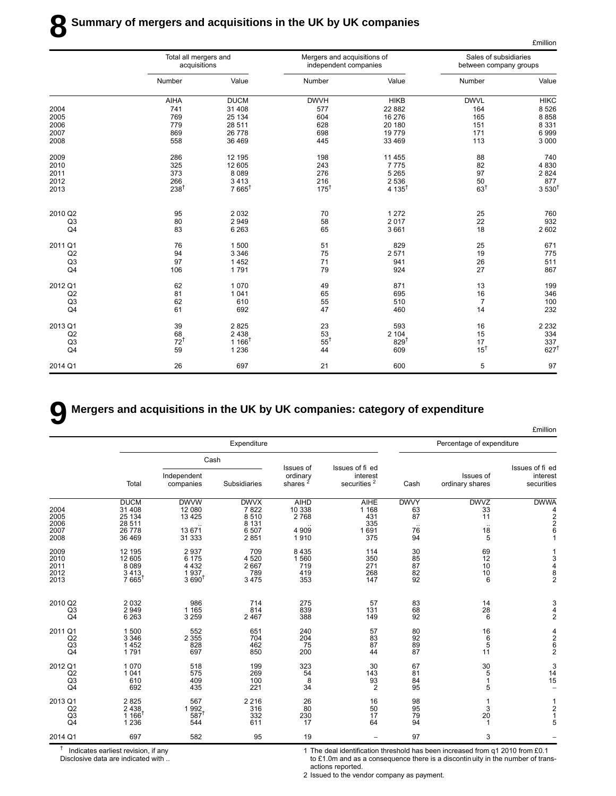|                |                                       |                  |                                                      |                   |                                                 | <b>£million</b>  |
|----------------|---------------------------------------|------------------|------------------------------------------------------|-------------------|-------------------------------------------------|------------------|
|                | Total all mergers and<br>acquisitions |                  | Mergers and acquisitions of<br>independent companies |                   | Sales of subsidiaries<br>between company groups |                  |
|                | Number                                | Value            | Number                                               | Value             | Number                                          | Value            |
|                | <b>AIHA</b>                           | <b>DUCM</b>      | <b>DWVH</b>                                          | <b>HIKB</b>       | <b>DWVL</b>                                     | <b>HIKC</b>      |
| 2004           | 741                                   | 31 408           | 577                                                  | 22 882            | 164                                             | 8526             |
| 2005           | 769                                   | 25 134           | 604                                                  | 16 276            | 165                                             | 8858             |
| 2006           | 779                                   | 28 511           | 628                                                  | 20 180            | 151                                             | 8 3 3 1          |
| 2007           | 869                                   | 26 778           | 698                                                  | 19779             | 171                                             | 6999             |
| 2008           | 558                                   | 36 469           | 445                                                  | 33 469            | 113                                             | 3 0 0 0          |
| 2009           | 286                                   | 12 195           | 198                                                  | 11 455            | 88                                              | 740              |
| 2010           | 325                                   | 12 605           | 243                                                  | 7775              | 82                                              | 4 8 3 0          |
| 2011           | 373                                   | 8 0 8 9          | 276                                                  | 5 2 6 5           | 97                                              | 2824             |
| 2012           | 266                                   | 3413             | 216                                                  | 2 5 3 6           | 50                                              | 877              |
| 2013           | $238^{\dagger}$                       | $7665^{\dagger}$ | $175^{\dagger}$                                      | $4.135^{\dagger}$ | 63 <sup>†</sup>                                 | $3530^{\dagger}$ |
| 2010 Q2        | 95                                    | 2032             | 70                                                   | 1 2 7 2           | 25                                              | 760              |
| Q <sub>3</sub> | 80                                    | 2949             | 58                                                   | 2017              | 22                                              | 932              |
| Q4             | 83                                    | 6 2 6 3          | 65                                                   | 3661              | 18                                              | 2 602            |
| 2011 Q1        | 76                                    | 1500             | 51                                                   | 829               | 25                                              | 671              |
| Q2             | 94                                    | 3 3 4 6          | 75                                                   | 2571              | 19                                              | 775              |
| Q <sub>3</sub> | 97                                    | 1452             | 71                                                   | 941               | 26                                              | 511              |
| Q <sub>4</sub> | 106                                   | 1791             | 79                                                   | 924               | 27                                              | 867              |
| 2012 Q1        | 62                                    | 1070             | 49                                                   | 871               | 13                                              | 199              |
| Q2             | 81                                    | 1041             | 65                                                   | 695               | 16                                              | 346              |
| Q <sub>3</sub> | 62                                    | 610              | 55                                                   | 510               | $\overline{7}$                                  | 100              |
| Q <sub>4</sub> | 61                                    | 692              | 47                                                   | 460               | 14                                              | 232              |
| 2013 Q1        | 39                                    | 2825             | 23                                                   | 593               | 16                                              | 2 2 3 2          |
| Q2             | 68                                    | 2 4 3 8          | 53                                                   | 2 1 0 4           | 15                                              | 334              |
| Q <sub>3</sub> | $72^{\dagger}$                        | $1166^{\dagger}$ | $55^{\dagger}$                                       | 829 <sup>†</sup>  | 17                                              | 337              |
| Q <sub>4</sub> | 59                                    | 1 2 3 6          | 44                                                   | 609               | $15^{\dagger}$                                  | $627^{\dagger}$  |
| 2014 Q1        | 26                                    | 697              | 21                                                   | 600               | 5                                               | 97               |

## **9 Mergers and acquisitions in the UK by UK companies: category of expenditure**

|                                                   |                                                               |                                                         |                                                         |                                                   |                                                     |                                     |                                    | <b>£million</b>                                           |
|---------------------------------------------------|---------------------------------------------------------------|---------------------------------------------------------|---------------------------------------------------------|---------------------------------------------------|-----------------------------------------------------|-------------------------------------|------------------------------------|-----------------------------------------------------------|
|                                                   |                                                               |                                                         | Expenditure                                             |                                                   |                                                     |                                     | Percentage of expenditure          |                                                           |
|                                                   |                                                               |                                                         | Cash                                                    |                                                   |                                                     |                                     |                                    |                                                           |
|                                                   | Total                                                         | Independent<br>companies                                | Subsidiaries                                            | Issues of<br>ordinary<br>shares $2$               | Issues of fi ed<br>interest<br>securities $^2$      | Cash                                | Issues of<br>ordinary shares       | Issues of fi ed<br>interest<br>securities                 |
| 2004<br>2005<br>2006<br>2007<br>2008              | <b>DUCM</b><br>31 408<br>25 134<br>28 511<br>26 778<br>36 469 | <b>DWVW</b><br>12 080<br>13 4 25<br>13 671<br>31 333    | <b>DWVX</b><br>7822<br>8510<br>8 1 3 1<br>6 507<br>2851 | <b>AIHD</b><br>10 338<br>2 768<br>4 9 0 9<br>1910 | <b>AIHE</b><br>1 1 6 8<br>431<br>335<br>1691<br>375 | <b>DWVY</b><br>63<br>87<br>76<br>94 | <b>DWVZ</b><br>33<br>11<br>18<br>5 | <b>DWWA</b><br>4<br>$\overline{2}$<br>$\overline{2}$<br>6 |
| 2009<br>2010<br>2011<br>2012<br>2013              | 12 195<br>12 605<br>8089<br>3413<br>$7665^{\dagger}$          | 2937<br>6 1 7 5<br>4 4 3 2<br>1937<br>3690 <sup>†</sup> | 709<br>4 5 20<br>2 6 6 7<br>789<br>3475                 | 8 4 3 5<br>1560<br>719<br>419<br>353              | 114<br>350<br>271<br>268<br>147                     | 30<br>85<br>87<br>82<br>92          | 69<br>12<br>10<br>10<br>6          | 3<br>4<br>8<br>$\overline{2}$                             |
| 2010 Q2<br>Q <sub>3</sub><br>Q <sub>4</sub>       | 2 0 3 2<br>2 9 4 9<br>6 2 6 3                                 | 986<br>1 1 6 5<br>3 2 5 9                               | 714<br>814<br>2 4 6 7                                   | 275<br>839<br>388                                 | 57<br>131<br>149                                    | 83<br>68<br>92                      | 14<br>28<br>6                      | 3<br>4<br>$\overline{2}$                                  |
| 2011 Q1<br>Q2<br>Q <sub>3</sub><br>Q <sub>4</sub> | 1500<br>3 3 4 6<br>1452<br>1791                               | 552<br>2 3 5 5<br>828<br>697                            | 651<br>704<br>462<br>850                                | 240<br>204<br>75<br>200                           | 57<br>83<br>87<br>44                                | 80<br>92<br>$\frac{89}{87}$         | 16<br>$^6_5$<br>11                 | 4<br>$\begin{array}{c}\n 2 \\ 6 \\ 2\n \end{array}$       |
| 2012 Q1<br>Q2<br>Q <sub>3</sub><br>Q4             | 1070<br>1 0 4 1<br>610<br>692                                 | 518<br>575<br>409<br>435                                | 199<br>269<br>100<br>221                                | 323<br>54<br>8<br>34                              | 30<br>143<br>$\frac{93}{2}$                         | 67<br>81<br>84<br>95                | 30<br>5<br>$\mathbf{1}$<br>5       | 3<br>14<br>15                                             |
| 2013 Q1<br>Q2<br>Q3<br>Q <sub>4</sub>             | 2825<br>2438<br>1 166<br>1 2 3 6                              | 567<br>1992<br>587<br>544                               | 2 2 1 6<br>316<br>332<br>611                            | 26<br>80<br>230<br>17                             | 16<br>50<br>17<br>64                                | 98<br>95<br>79<br>94                | 3<br>20<br>$\mathbf{1}$            | $\overline{c}$<br>$\mathbf{1}$<br>5                       |
| 2014 Q1                                           | 697                                                           | 582                                                     | 95                                                      | 19                                                |                                                     | 97                                  | 3                                  |                                                           |

† Indicates earliest revision, if any

Disclosive data are indicated with ..

1 The deal identification threshold has been increased from q1 2010 from £0.1 to £1.0m and as a consequence there is a discontin uity in the number of transactions reported.

2 Issued to the vendor company as payment.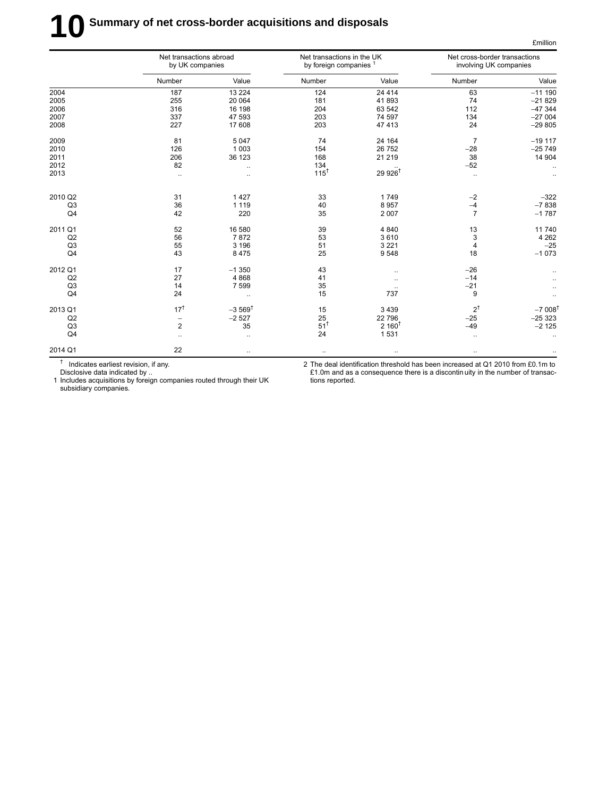# **10** Summary of net cross-border acquisitions and disposals

|                | Net transactions abroad<br>by UK companies |                       | Net transactions in the UK<br>by foreign companies <sup>1</sup> |                      | Net cross-border transactions<br>involving UK companies |                      |
|----------------|--------------------------------------------|-----------------------|-----------------------------------------------------------------|----------------------|---------------------------------------------------------|----------------------|
|                | Number                                     | Value                 | Number                                                          | Value                | Number                                                  | Value                |
| 2004           | 187                                        | 13 2 24               | 124                                                             | 24 4 14              | 63                                                      | $-111190$            |
| 2005           | 255                                        | 20 064                | 181                                                             | 41893                | 74                                                      | $-21829$             |
| 2006           | 316                                        | 16 198                | 204                                                             | 63 542               | 112                                                     | $-47344$             |
| 2007           | 337                                        | 47 593                | 203                                                             | 74 597               | 134                                                     | $-27004$             |
| 2008           | 227                                        | 17 608                | 203                                                             | 47 413               | 24                                                      | $-29805$             |
| 2009           | 81                                         | 5 0 4 7               | 74                                                              | 24 164               | $\overline{7}$                                          | $-19117$             |
| 2010           | 126                                        | 1 0 0 3               | 154                                                             | 26 752               | $-28$                                                   | $-25749$             |
| 2011           | 206                                        | 36 123                | 168                                                             | 21 219               | 38                                                      | 14 904               |
| 2012           | 82                                         | $\ldots$              | 134                                                             |                      | $-52$                                                   |                      |
| 2013           | $\ldots$                                   | $\ddotsc$             | $115^{\dagger}$                                                 | $29926$ <sup>†</sup> | $\ldots$                                                |                      |
| 2010 Q2        | 31                                         | 1 4 2 7               | 33                                                              | 1749                 | $-2$                                                    | $-322$               |
| Q <sub>3</sub> | 36                                         | 1 1 1 9               | 40                                                              | 8 9 5 7              | $-4$                                                    | $-7838$              |
| Q <sub>4</sub> | 42                                         | 220                   | 35                                                              | 2 0 0 7              | $\overline{7}$                                          | $-1787$              |
| 2011 Q1        | 52                                         | 16 580                | 39                                                              | 4 8 4 0              | 13                                                      | 11740                |
| Q2             | 56                                         | 7872                  | 53                                                              | 3610                 | 3                                                       | 4 2 6 2              |
| Q <sub>3</sub> | 55                                         | 3 1 9 6               | 51                                                              | 3 2 2 1              | $\overline{\mathbf{4}}$                                 | $-25$                |
| Q <sub>4</sub> | 43                                         | 8 4 7 5               | 25                                                              | 9548                 | 18                                                      | $-1073$              |
| 2012 Q1        | 17                                         | $-1350$               | 43                                                              | $\ddotsc$            | $-26$                                                   |                      |
| Q2             | 27                                         | 4 8 6 8               | 41                                                              |                      | $-14$                                                   |                      |
| Q <sub>3</sub> | 14                                         | 7 5 9 9               | 35                                                              |                      | $-21$                                                   |                      |
| Q4             | 24                                         | $\ldots$              | 15                                                              | 737                  | 9                                                       |                      |
| 2013 Q1        | $17^{\dagger}$                             | $-3.569$ <sup>t</sup> | 15                                                              | 3 4 3 9              | $2^{\dagger}$                                           | $-7008$ <sup>t</sup> |
| Q2             | $\overline{\phantom{m}}$                   | $-2527$               | 25                                                              | 22 796               | $-25$                                                   | $-25323$             |
| Q <sub>3</sub> | $\overline{2}$                             | 35                    | $51^{\dagger}$                                                  | $2,160^{\dagger}$    | $-49$                                                   | $-2125$              |
| Q <sub>4</sub> | $\ddotsc$                                  | $\ddotsc$             | 24                                                              | 1 5 3 1              | $\ldots$                                                | $\ddotsc$            |
| 2014 Q1        | 22                                         | $\ldots$              | $\cdots$                                                        | $\ldots$             | $\ldots$                                                |                      |

<sup>†</sup> Indicates earliest revision, if any.

Disclosive data indicated by ..

1 Includes acquisitions by foreign companies routed through their UK subsidiary companies.

2 The deal identification threshold has been increased at Q1 2010 from £0.1m to £1.0m and as a consequence there is a discontin uity in the number of transactions reported.